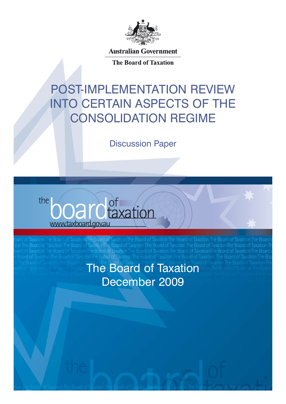

**Australian Government** 

The Board of Taxation

# POST-IMPLEMENTATION REVIEW into certain aspects of the consolidation regime

Discussion Paper



d of TaxationThe Board of axation The Board of TaxationThe Board of ard of Taxation The Board of Taxation of TaxarionThe Board of Taxation The Board of Ta The Board of Taxation December 2009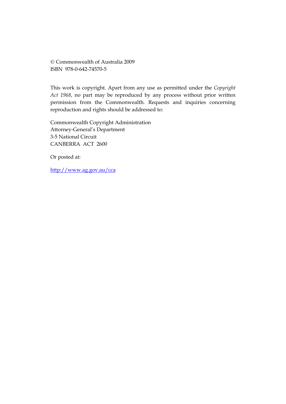© Commonwealth of Australia 2009 ISBN 978-0-642-74570-5

This work is copyright. Apart from any use as permitted under the *Copyright Act 1968*, no part may be reproduced by any process without prior written permission from the Commonwealth. Requests and inquiries concerning reproduction and rights should be addressed to:

Commonwealth Copyright Administration Attorney-General's Department 3-5 National Circuit CANBERRA ACT 2600

Or posted at:

<http://www.ag.gov.au/cca>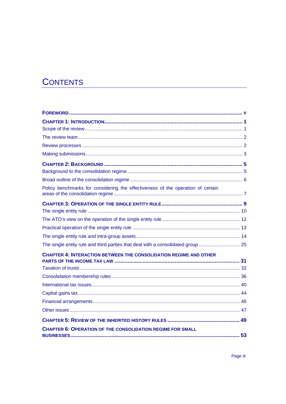## **CONTENTS**

| Policy benchmarks for considering the effectiveness of the operation of certain  |    |
|----------------------------------------------------------------------------------|----|
|                                                                                  |    |
|                                                                                  |    |
|                                                                                  |    |
|                                                                                  |    |
|                                                                                  |    |
| The single entity rule and third parties that deal with a consolidated group  25 |    |
| <b>CHAPTER 4: INTERACTION BETWEEN THE CONSOLIDATION REGIME AND OTHER</b>         |    |
|                                                                                  |    |
|                                                                                  |    |
|                                                                                  |    |
|                                                                                  |    |
|                                                                                  |    |
|                                                                                  |    |
|                                                                                  |    |
| <b>CHAPTER 6: OPERATION OF THE CONSOLIDATION REGIME FOR SMALL</b>                | 53 |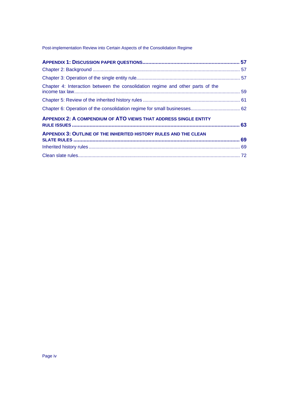#### Post-implementation Review into Certain Aspects of the Consolidation Regime

| Chapter 4: Interaction between the consolidation regime and other parts of the |  |
|--------------------------------------------------------------------------------|--|
|                                                                                |  |
|                                                                                |  |
| <b>APPENDIX 2: A COMPENDIUM OF ATO VIEWS THAT ADDRESS SINGLE ENTITY</b>        |  |
| <b>APPENDIX 3: OUTLINE OF THE INHERITED HISTORY RULES AND THE CLEAN</b>        |  |
|                                                                                |  |
|                                                                                |  |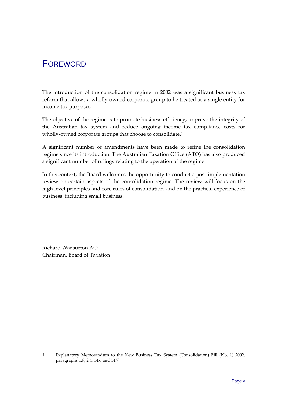## <span id="page-4-0"></span>FOREWORD

The introduction of the consolidation regime in 2002 was a significant business tax reform that allows a wholly-owned corporate group to be treated as a single entity for income tax purposes.

The objective of the regime is to promote business efficiency, improve the integrity of the Australian tax system and reduce ongoing income tax compliance costs for wholly-owned corporate groups that choose to consolidate.<sup>[1](#page-4-1)</sup>

A significant number of amendments have been made to refine the consolidation regime since its introduction. The Australian Taxation Office (ATO) has also produced a significant number of rulings relating to the operation of the regime.

In this context, the Board welcomes the opportunity to conduct a post-implementation review on certain aspects of the consolidation regime. The review will focus on the high level principles and core rules of consolidation, and on the practical experience of business, including small business.

Richard Warburton AO Chairman, Board of Taxation

<span id="page-4-1"></span><sup>1</sup> Explanatory Memorandum to the New Business Tax System (Consolidation) Bill (No. 1) 2002, paragraphs 1.9, 2.4, 14.6 and 14.7.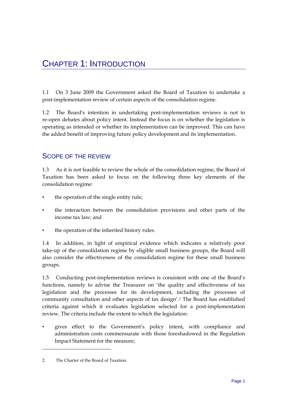<span id="page-6-0"></span>1.1 On 3 June 2009 the Government asked the Board of Taxation to undertake a post-implementation review of certain aspects of the consolidation regime.

1.2 The Board's intention in undertaking post-implementation reviews is not to re-open debates about policy intent. Instead the focus is on whether the legislation is operating as intended or whether its implementation can be improved. This can have the added benefit of improving future policy development and its implementation.

## SCOPE OF THE REVIEW

1.3 As it is not feasible to review the whole of the consolidation regime, the Board of Taxation has been asked to focus on the following three key elements of the consolidation regime:

- the operation of the single entity rule;
- the interaction between the consolidation provisions and other parts of the income tax law; and
- the operation of the inherited history rules.

1.4 In addition, in light of empirical evidence which indicates a relatively poor take-up of the consolidation regime by eligible small business groups, the Board will also consider the effectiveness of the consolidation regime for these small business groups.

1.5 Conducting post-implementation reviews is consistent with one of the Board's functions, namely to advise the Treasurer on 'the quality and effectiveness of tax legislation and the processes for its development, including the processes of community consultation and other aspects of tax design'.[2](#page-6-1) The Board has established criteria against which it evaluates legislation selected for a post-implementation review. The criteria include the extent to which the legislation:

• gives effect to the Government's policy intent, with compliance and administration costs commensurate with those foreshadowed in the Regulation Impact Statement for the measure;

<span id="page-6-1"></span><sup>2</sup> The Charter of the Board of Taxation.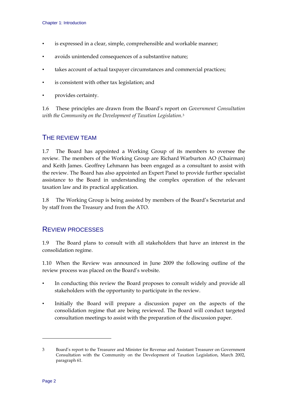- <span id="page-7-0"></span>is expressed in a clear, simple, comprehensible and workable manner;
- avoids unintended consequences of a substantive nature;
- takes account of actual taxpayer circumstances and commercial practices;
- is consistent with other tax legislation; and
- provides certainty.

1.6 These principles are drawn from the Board's report on *Government Consultation with the Community on the Development of Taxation Legislation*.[3](#page-7-1)

## THE REVIEW TEAM

1.7 The Board has appointed a Working Group of its members to oversee the review. The members of the Working Group are Richard Warburton AO (Chairman) and Keith James. Geoffrey Lehmann has been engaged as a consultant to assist with the review. The Board has also appointed an Expert Panel to provide further specialist assistance to the Board in understanding the complex operation of the relevant taxation law and its practical application.

1.8 The Working Group is being assisted by members of the Board's Secretariat and by staff from the Treasury and from the ATO.

## REVIEW PROCESSES

1.9 The Board plans to consult with all stakeholders that have an interest in the consolidation regime.

1.10 When the Review was announced in June 2009 the following outline of the review process was placed on the Board's website.

- In conducting this review the Board proposes to consult widely and provide all stakeholders with the opportunity to participate in the review.
- Initially the Board will prepare a discussion paper on the aspects of the consolidation regime that are being reviewed. The Board will conduct targeted consultation meetings to assist with the preparation of the discussion paper.

<span id="page-7-1"></span><sup>3</sup> Board's report to the Treasurer and Minister for Revenue and Assistant Treasurer on Government Consultation with the Community on the Development of Taxation Legislation, March 2002, paragraph 61.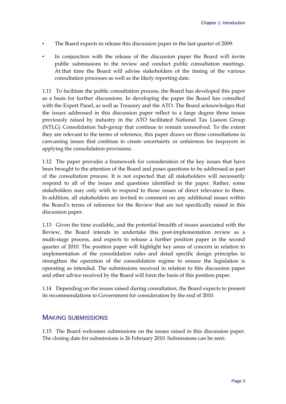- <span id="page-8-0"></span>The Board expects to release this discussion paper in the last quarter of 2009.
- In conjunction with the release of the discussion paper the Board will invite public submissions to the review and conduct public consultation meetings. At that time the Board will advise stakeholders of the timing of the various consultation processes as well as the likely reporting date.

1.11 To facilitate the public consultation process, the Board has developed this paper as a basis for further discussions. In developing the paper the Board has consulted with the Expert Panel, as well as Treasury and the ATO. The Board acknowledges that the issues addressed in this discussion paper reflect to a large degree those issues previously raised by industry in the ATO facilitated National Tax Liaison Group (NTLG) Consolidation Sub-group that continue to remain unresolved. To the extent they are relevant to the terms of reference, this paper draws on those consultations in canvassing issues that continue to create uncertainty or unfairness for taxpayers in applying the consolidation provisions.

1.12 The paper provides a framework for consideration of the key issues that have been brought to the attention of the Board and poses questions to be addressed as part of the consultation process. It is not expected that all stakeholders will necessarily respond to all of the issues and questions identified in the paper. Rather, some stakeholders may only wish to respond to those issues of direct relevance to them. In addition, all stakeholders are invited to comment on any additional issues within the Board's terms of reference for the Review that are not specifically raised in this discussion paper.

1.13 Given the time available, and the potential breadth of issues associated with the Review, the Board intends to undertake this post-implementation review as a multi-stage process, and expects to release a further position paper in the second quarter of 2010. The position paper will highlight key areas of concern in relation to implementation of the consolidation rules and detail specific design principles to strengthen the operation of the consolidation regime to ensure the legislation is operating as intended. The submissions received in relation to this discussion paper and other advice received by the Board will form the basis of this position paper.

1.14 Depending on the issues raised during consultation, the Board expects to present its recommendations to Government for consideration by the end of 2010.

## MAKING SUBMISSIONS

1.15 The Board welcomes submissions on the issues raised in this discussion paper. The closing date for submissions is 26 February 2010. Submissions can be sent: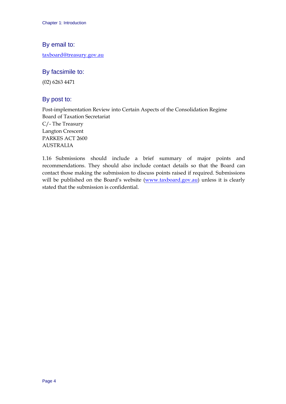#### By email to:

[taxboard@treasury.gov.au](mailto:taxboard@treasury.gov.au)

## By facsimile to:

(02) 6263 4471

## By post to:

Post-implementation Review into Certain Aspects of the Consolidation Regime Board of Taxation Secretariat C/- The Treasury Langton Crescent PARKES ACT 2600 AUSTRALIA

1.16 Submissions should include a brief summary of major points and recommendations. They should also include contact details so that the Board can contact those making the submission to discuss points raised if required. Submissions will be published on the Board's website [\(www.taxboard.gov.au\)](http://www.taxboard.gov.au/) unless it is clearly stated that the submission is confidential.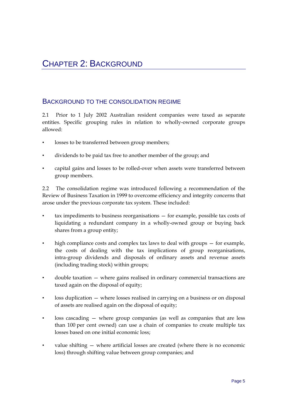## <span id="page-10-0"></span>BACKGROUND TO THE CONSOLIDATION REGIME

2.1 Prior to 1 July 2002 Australian resident companies were taxed as separate entities. Specific grouping rules in relation to wholly-owned corporate groups allowed:

- losses to be transferred between group members;
- dividends to be paid tax free to another member of the group; and
- capital gains and losses to be rolled-over when assets were transferred between group members.

2.2 The consolidation regime was introduced following a recommendation of the Review of Business Taxation in 1999 to overcome efficiency and integrity concerns that arose under the previous corporate tax system. These included:

- $tax$  impediments to business reorganisations  $-$  for example, possible tax costs of liquidating a redundant company in a wholly-owned group or buying back shares from a group entity;
- high compliance costs and complex tax laws to deal with groups for example, the costs of dealing with the tax implications of group reorganisations, intra-group dividends and disposals of ordinary assets and revenue assets (including trading stock) within groups;
- double taxation where gains realised in ordinary commercial transactions are taxed again on the disposal of equity;
- loss duplication where losses realised in carrying on a business or on disposal of assets are realised again on the disposal of equity;
- $loss$  cascading  $-$  where group companies (as well as companies that are less than 100 per cent owned) can use a chain of companies to create multiple tax losses based on one initial economic loss;
- value shifting where artificial losses are created (where there is no economic loss) through shifting value between group companies; and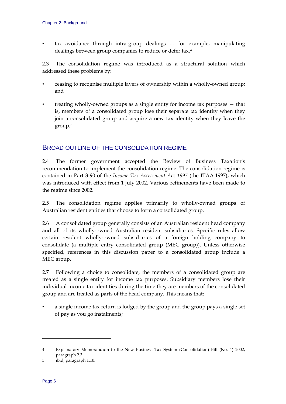<span id="page-11-0"></span>• tax avoidance through intra-group dealings — for example, manipulating dealings between group companies to reduce or defer tax.[4](#page-11-1)

2.3 The consolidation regime was introduced as a structural solution which addressed these problems by:

- ceasing to recognise multiple layers of ownership within a wholly-owned group; and
- treating wholly-owned groups as a single entity for income tax purposes that is, members of a consolidated group lose their separate tax identity when they join a consolidated group and acquire a new tax identity when they leave the group.[5](#page-11-2)

## BROAD OUTLINE OF THE CONSOLIDATION REGIME

2.4 The former government accepted the Review of Business Taxation's recommendation to implement the consolidation regime. The consolidation regime is contained in Part 3-90 of the *Income Tax Assessment Ac*t *1997* (the ITAA 1997), which was introduced with effect from 1 July 2002. Various refinements have been made to the regime since 2002.

2.5 The consolidation regime applies primarily to wholly-owned groups of Australian resident entities that choose to form a consolidated group.

2.6 A consolidated group generally consists of an Australian resident head company and all of its wholly-owned Australian resident subsidiaries. Specific rules allow certain resident wholly-owned subsidiaries of a foreign holding company to consolidate (a multiple entry consolidated group (MEC group)). Unless otherwise specified, references in this discussion paper to a consolidated group include a MEC group.

2.7 Following a choice to consolidate, the members of a consolidated group are treated as a single entity for income tax purposes. Subsidiary members lose their individual income tax identities during the time they are members of the consolidated group and are treated as parts of the head company. This means that:

• a single income tax return is lodged by the group and the group pays a single set of pay as you go instalments;

<span id="page-11-1"></span><sup>4</sup> Explanatory Memorandum to the New Business Tax System (Consolidation) Bill (No. 1) 2002, paragraph 2.3.

<span id="page-11-2"></span><sup>5</sup> ibid, paragraph 1.10.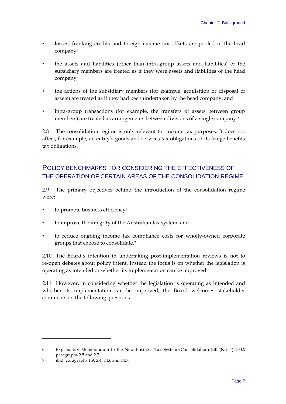- <span id="page-12-0"></span>• losses, franking credits and foreign income tax offsets are pooled in the head company;
- the assets and liabilities (other than intra-group assets and liabilities) of the subsidiary members are treated as if they were assets and liabilities of the head company;
- the actions of the subsidiary members (for example, acquisition or disposal of assets) are treated as if they had been undertaken by the head company; and
- intra-group transactions (for example, the transfers of assets between group members) are treated as arrangements between divisions of a single company.<sup>[6](#page-12-1)</sup>

2.8 The consolidation regime is only relevant for income tax purposes. It does not affect, for example, an entity's goods and services tax obligations or its fringe benefits tax obligations.

## POLICY BENCHMARKS FOR CONSIDERING THE EFFECTIVENESS OF THE OPERATION OF CERTAIN AREAS OF THE CONSOLIDATION REGIME

2.9 The primary objectives behind the introduction of the consolidation regime were:

- to promote business efficiency;
- to improve the integrity of the Australian tax system; and
- to reduce ongoing income tax compliance costs for wholly-owned corporate groups that choose to consolidate.[7](#page-12-2)

2.10 The Board's intention in undertaking post-implementation reviews is not to re-open debates about policy intent. Instead the focus is on whether the legislation is operating as intended or whether its implementation can be improved.

2.11 However, in considering whether the legislation is operating as intended and whether its implementation can be improved, the Board welcomes stakeholder comments on the following questions.

<span id="page-12-1"></span><sup>6</sup> Explanatory Memorandum to the New Business Tax System (Consolidation) Bill (No. 1) 2002, paragraphs 2.5 and 2.7.

<span id="page-12-2"></span><sup>7</sup> ibid, paragraphs 1.9, 2.4, 14.6 and 14.7.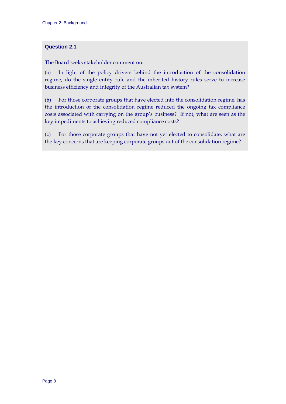#### **Question 2.1**

The Board seeks stakeholder comment on:

(a) In light of the policy drivers behind the introduction of the consolidation regime, do the single entity rule and the inherited history rules serve to increase business efficiency and integrity of the Australian tax system?

(b) For those corporate groups that have elected into the consolidation regime, has the introduction of the consolidation regime reduced the ongoing tax compliance costs associated with carrying on the group's business? If not, what are seen as the key impediments to achieving reduced compliance costs?

(c) For those corporate groups that have not yet elected to consolidate, what are the key concerns that are keeping corporate groups out of the consolidation regime?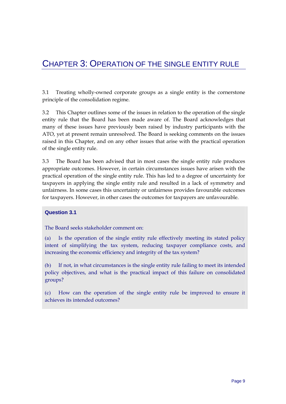## <span id="page-14-0"></span>CHAPTER 3: OPERATION OF THE SINGLE ENTITY RULE

3.1 Treating wholly-owned corporate groups as a single entity is the cornerstone principle of the consolidation regime.

3.2 This Chapter outlines some of the issues in relation to the operation of the single entity rule that the Board has been made aware of. The Board acknowledges that many of these issues have previously been raised by industry participants with the ATO, yet at present remain unresolved. The Board is seeking comments on the issues raised in this Chapter, and on any other issues that arise with the practical operation of the single entity rule.

3.3 The Board has been advised that in most cases the single entity rule produces appropriate outcomes. However, in certain circumstances issues have arisen with the practical operation of the single entity rule. This has led to a degree of uncertainty for taxpayers in applying the single entity rule and resulted in a lack of symmetry and unfairness. In some cases this uncertainty or unfairness provides favourable outcomes for taxpayers. However, in other cases the outcomes for taxpayers are unfavourable.

#### **Question 3.1**

The Board seeks stakeholder comment on:

(a) Is the operation of the single entity rule effectively meeting its stated policy intent of simplifying the tax system, reducing taxpayer compliance costs, and increasing the economic efficiency and integrity of the tax system?

(b) If not, in what circumstances is the single entity rule failing to meet its intended policy objectives, and what is the practical impact of this failure on consolidated groups?

(c) How can the operation of the single entity rule be improved to ensure it achieves its intended outcomes?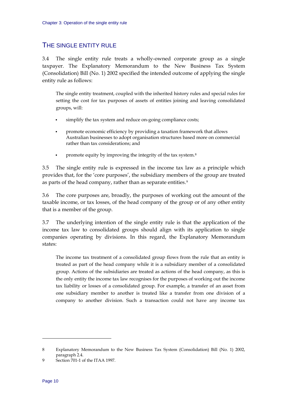## <span id="page-15-0"></span>THE SINGLE ENTITY RULE

3.4 The single entity rule treats a wholly-owned corporate group as a single taxpayer. The Explanatory Memorandum to the New Business Tax System (Consolidation) Bill (No. 1) 2002 specified the intended outcome of applying the single entity rule as follows:

The single entity treatment, coupled with the inherited history rules and special rules for setting the cost for tax purposes of assets of entities joining and leaving consolidated groups, will:

- simplify the tax system and reduce on-going compliance costs;
- promote economic efficiency by providing a taxation framework that allows Australian businesses to adopt organisation structures based more on commercial rather than tax considerations; and
- **•** promote equity by improving the integrity of the tax system.<sup>[8](#page-15-1)</sup>

3.5 The single entity rule is expressed in the income tax law as a principle which provides that, for the 'core purposes', the subsidiary members of the group are treated as parts of the head company, rather than as separate entities.<sup>[9](#page-15-2)</sup>

3.6 The core purposes are, broadly, the purposes of working out the amount of the taxable income, or tax losses, of the head company of the group or of any other entity that is a member of the group.

3.7 The underlying intention of the single entity rule is that the application of the income tax law to consolidated groups should align with its application to single companies operating by divisions. In this regard, the Explanatory Memorandum states:

The income tax treatment of a consolidated group flows from the rule that an entity is treated as part of the head company while it is a subsidiary member of a consolidated group. Actions of the subsidiaries are treated as actions of the head company, as this is the only entity the income tax law recognises for the purposes of working out the income tax liability or losses of a consolidated group. For example, a transfer of an asset from one subsidiary member to another is treated like a transfer from one division of a company to another division. Such a transaction could not have any income tax

<sup>8</sup> Explanatory Memorandum to the New Business Tax System (Consolidation) Bill (No. 1) 2002, paragraph 2.4.

<span id="page-15-2"></span><span id="page-15-1"></span><sup>9</sup> Section 701-1 of the ITAA 1997.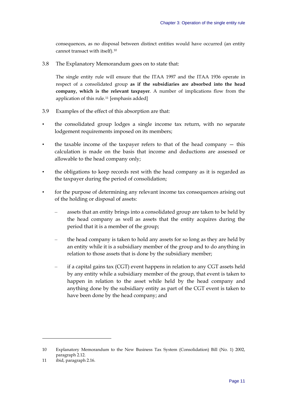consequences, as no disposal between distinct entities would have occurred (an entity cannot transact with itself).[10](#page-16-0)

3.8 The Explanatory Memorandum goes on to state that:

The single entity rule will ensure that the ITAA 1997 and the ITAA 1936 operate in respect of a consolidated group **as if the subsidiaries are absorbed into the head company, which is the relevant taxpayer**. A number of implications flow from the application of this rule.[11](#page-16-1) [emphasis added]

- 3.9 Examples of the effect of this absorption are that:
- the consolidated group lodges a single income tax return, with no separate lodgement requirements imposed on its members;
- the taxable income of the taxpayer refers to that of the head company  $-$  this calculation is made on the basis that income and deductions are assessed or allowable to the head company only;
- the obligations to keep records rest with the head company as it is regarded as the taxpayer during the period of consolidation;
- for the purpose of determining any relevant income tax consequences arising out of the holding or disposal of assets:
	- assets that an entity brings into a consolidated group are taken to be held by the head company as well as assets that the entity acquires during the period that it is a member of the group;
	- the head company is taken to hold any assets for so long as they are held by an entity while it is a subsidiary member of the group and to do anything in relation to those assets that is done by the subsidiary member;
	- if a capital gains tax (CGT) event happens in relation to any CGT assets held by any entity while a subsidiary member of the group, that event is taken to happen in relation to the asset while held by the head company and anything done by the subsidiary entity as part of the CGT event is taken to have been done by the head company; and

<span id="page-16-0"></span><sup>10</sup> Explanatory Memorandum to the New Business Tax System (Consolidation) Bill (No. 1) 2002, paragraph 2.12.

<span id="page-16-1"></span><sup>11</sup> ibid, paragraph 2.16.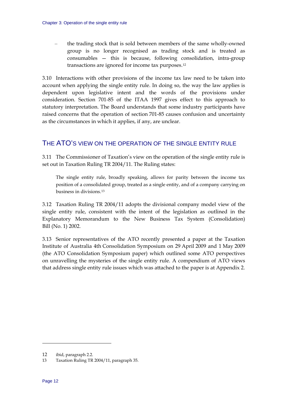<span id="page-17-0"></span>– the trading stock that is sold between members of the same wholly-owned group is no longer recognised as trading stock and is treated as consumables — this is because, following consolidation, intra-group transactions are ignored for income tax purposes.[12](#page-17-0)

3.10 Interactions with other provisions of the income tax law need to be taken into account when applying the single entity rule. In doing so, the way the law applies is dependent upon legislative intent and the words of the provisions under consideration. Section 701-85 of the ITAA 1997 gives effect to this approach to statutory interpretation. The Board understands that some industry participants have raised concerns that the operation of section 701-85 causes confusion and uncertainty as the circumstances in which it applies, if any, are unclear.

## THE ATO'S VIEW ON THE OPERATION OF THE SINGLE ENTITY RULE

3.11 The Commissioner of Taxation's view on the operation of the single entity rule is set out in Taxation Ruling TR 2004/11. The Ruling states:

The single entity rule, broadly speaking, allows for parity between the income tax position of a consolidated group, treated as a single entity, and of a company carrying on business in divisions.[13](#page-17-0)

3.12 Taxation Ruling TR 2004/11 adopts the divisional company model view of the single entity rule, consistent with the intent of the legislation as outlined in the Explanatory Memorandum to the New Business Tax System (Consolidation) Bill (No. 1) 2002.

3.13 Senior representatives of the ATO recently presented a paper at the Taxation Institute of Australia 4th Consolidation Symposium on 29 April 2009 and 1 May 2009 (the ATO Consolidation Symposium paper) which outlined some ATO perspectives on unravelling the mysteries of the single entity rule. A compendium of ATO views that address single entity rule issues which was attached to the paper is at Appendix 2.

 $\ddot{\phantom{a}}$ 

<sup>12</sup> ibid, paragraph 2.2.

<sup>13</sup> Taxation Ruling TR 2004/11, paragraph 35.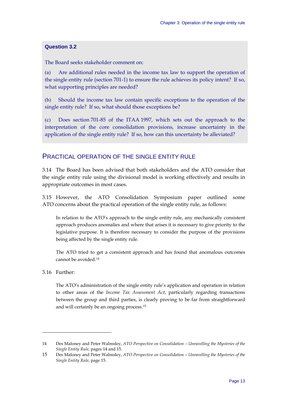#### <span id="page-18-0"></span>**Question 3.2**

The Board seeks stakeholder comment on:

(a) Are additional rules needed in the income tax law to support the operation of the single entity rule (section 701-1) to ensure the rule achieves its policy intent? If so, what supporting principles are needed?

(b) Should the income tax law contain specific exceptions to the operation of the single entity rule? If so, what should those exceptions be?

(c) Does section 701-85 of the ITAA 1997, which sets out the approach to the interpretation of the core consolidation provisions, increase uncertainty in the application of the single entity rule? If so, how can this uncertainty be alleviated?

#### PRACTICAL OPERATION OF THE SINGLE ENTITY RULE

3.14 The Board has been advised that both stakeholders and the ATO consider that the single entity rule using the divisional model is working effectively and results in appropriate outcomes in most cases.

3.15 However, the ATO Consolidation Symposium paper outlined some ATO concerns about the practical operation of the single entity rule, as follows:

In relation to the ATO's approach to the single entity rule, any mechanically consistent approach produces anomalies and where that arises it is necessary to give priority to the legislative purpose. It is therefore necessary to consider the purpose of the provisions being affected by the single entity rule.

The ATO tried to get a consistent approach and has found that anomalous outcomes cannot be avoided.[14](#page-18-0)

3.16 Further:

 $\overline{a}$ 

The ATO's administration of the single entity rule's application and operation in relation to other areas of the *Income Tax Assessment Act*, particularly regarding transactions between the group and third parties, is clearly proving to be far from straightforward and will certainly be an ongoing process.[15](#page-18-0)

<sup>14</sup> Des Maloney and Peter Walmsley, *ATO Perspective on Consolidation – Unravelling the Mysteries of the Single Entity Rule*, pages 14 and 15.

<sup>15</sup> Des Maloney and Peter Walmsley, *ATO Perspective on Consolidation – Unravelling the Mysteries of the Single Entity Rule*, page 15.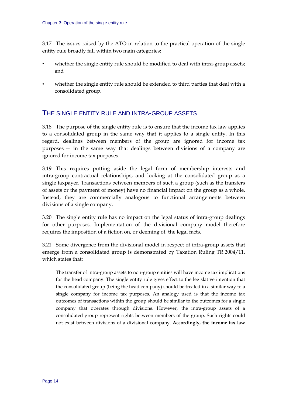<span id="page-19-0"></span>3.17 The issues raised by the ATO in relation to the practical operation of the single entity rule broadly fall within two main categories:

- whether the single entity rule should be modified to deal with intra-group assets; and
- whether the single entity rule should be extended to third parties that deal with a consolidated group.

## THE SINGLE ENTITY RULE AND INTRA-GROUP ASSETS

3.18 The purpose of the single entity rule is to ensure that the income tax law applies to a consolidated group in the same way that it applies to a single entity. In this regard, dealings between members of the group are ignored for income tax purposes — in the same way that dealings between divisions of a company are ignored for income tax purposes.

3.19 This requires putting aside the legal form of membership interests and intra-group contractual relationships, and looking at the consolidated group as a single taxpayer. Transactions between members of such a group (such as the transfers of assets or the payment of money) have no financial impact on the group as a whole. Instead, they are commercially analogous to functional arrangements between divisions of a single company.

3.20 The single entity rule has no impact on the legal status of intra-group dealings for other purposes. Implementation of the divisional company model therefore requires the imposition of a fiction on, or deeming of, the legal facts.

3.21 Some divergence from the divisional model in respect of intra-group assets that emerge from a consolidated group is demonstrated by Taxation Ruling TR 2004/11, which states that:

The transfer of intra-group assets to non-group entities will have income tax implications for the head company. The single entity rule gives effect to the legislative intention that the consolidated group (being the head company) should be treated in a similar way to a single company for income tax purposes. An analogy used is that the income tax outcomes of transactions within the group should be similar to the outcomes for a single company that operates through divisions. However, the intra-group assets of a consolidated group represent rights between members of the group. Such rights could not exist between divisions of a divisional company. **Accordingly, the income tax law**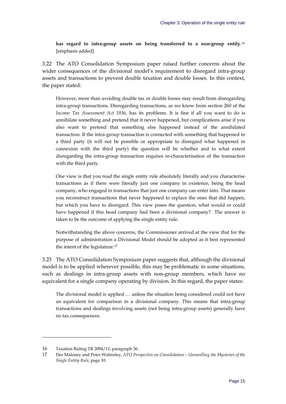<span id="page-20-0"></span>**has regard to intra-group assets on being transferred to a non-group entity**.[16](#page-20-0) [emphasis added]

3.22 The ATO Consolidation Symposium paper raised further concerns about the wider consequences of the divisional model's requirement to disregard intra-group assets and transactions to prevent double taxation and double losses. In this context, the paper stated:

However, more than avoiding double tax or double losses may result from disregarding intra-group transactions. Disregarding transactions, as we know from section 260 of the *Income Tax Assessment Act 1936*, has its problems. It is fine if all you want to do is annihilate something and pretend that it never happened, but complications arise if you also want to pretend that something else happened instead of the annihilated transaction. If the intra-group transaction is connected with something that happened to a third party (it will not be possible or appropriate to disregard what happened in connexion with the third party) the question will be whether and to what extent disregarding the intra-group transaction requires re-characterisation of the transaction with the third party.

One view is that you read the single entity rule absolutely literally and you characterise transactions as if there were literally just one company in existence, being the head company, who engaged in transactions that just one company can enter into. That means you reconstruct transactions that never happened to replace the ones that did happen, but which you have to disregard. This view poses the question, what would or could have happened if this head company had been a divisional company? The answer is taken to be the outcome of applying the single entity rule.

Notwithstanding the above concerns, the Commissioner arrived at the view that for the purpose of administration a Divisional Model should be adopted as it best represented the intent of the legislature.[17](#page-20-0)

3.23 The ATO Consolidation Symposium paper suggests that, although the divisional model is to be applied wherever possible, this may be problematic in some situations, such as dealings in intra-group assets with non-group members, which have no equivalent for a single company operating by division. In this regard, the paper states:

The divisional model is applied … unless the situation being considered could not have an equivalent for comparison in a divisional company. This means that intra-group transactions and dealings involving assets (not being intra-group assets) generally have no tax consequences.

<sup>16</sup> Taxation Ruling TR 2004/11, paragraph 36.

<sup>17</sup> Des Maloney and Peter Walmsley, *ATO Perspective on Consolidation – Unravelling the Mysteries of the Single Entity Rule*, page 10.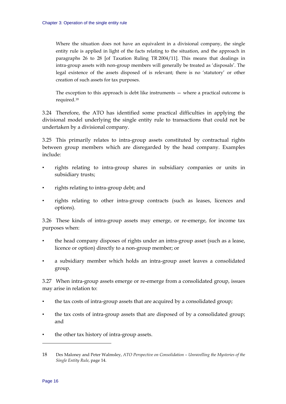<span id="page-21-0"></span>Where the situation does not have an equivalent in a divisional company, the single entity rule is applied in light of the facts relating to the situation, and the approach in paragraphs 26 to 28 [of Taxation Ruling TR 2004/11]. This means that dealings in intra-group assets with non-group members will generally be treated as 'disposals'. The legal existence of the assets disposed of is relevant; there is no 'statutory' or other creation of such assets for tax purposes.

The exception to this approach is debt like instruments — where a practical outcome is required.[18](#page-21-0)

3.24 Therefore, the ATO has identified some practical difficulties in applying the divisional model underlying the single entity rule to transactions that could not be undertaken by a divisional company.

3.25 This primarily relates to intra-group assets constituted by contractual rights between group members which are disregarded by the head company. Examples include:

- rights relating to intra-group shares in subsidiary companies or units in subsidiary trusts;
- rights relating to intra-group debt; and
- rights relating to other intra-group contracts (such as leases, licences and options).

3.26 These kinds of intra-group assets may emerge, or re-emerge, for income tax purposes when:

- the head company disposes of rights under an intra-group asset (such as a lease, licence or option) directly to a non-group member; or
- a subsidiary member which holds an intra-group asset leaves a consolidated group.

3.27 When intra-group assets emerge or re-emerge from a consolidated group, issues may arise in relation to:

- the tax costs of intra-group assets that are acquired by a consolidated group;
- the tax costs of intra-group assets that are disposed of by a consolidated group; and
- the other tax history of intra-group assets.

 $\ddot{\phantom{a}}$ 

<sup>18</sup> Des Maloney and Peter Walmsley, *ATO Perspective on Consolidation – Unravelling the Mysteries of the Single Entity Rule*, page 14.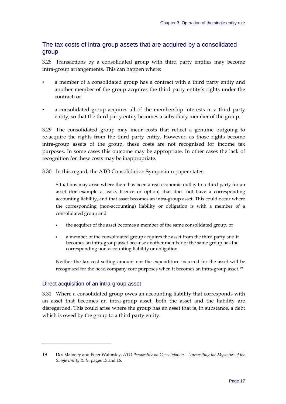## <span id="page-22-0"></span>The tax costs of intra-group assets that are acquired by a consolidated group

3.28 Transactions by a consolidated group with third party entities may become intra-group arrangements. This can happen where:

- a member of a consolidated group has a contract with a third party entity and another member of the group acquires the third party entity's rights under the contract; or
- a consolidated group acquires all of the membership interests in a third party entity, so that the third party entity becomes a subsidiary member of the group.

3.29 The consolidated group may incur costs that reflect a genuine outgoing to re-acquire the rights from the third party entity. However, as those rights become intra-group assets of the group, these costs are not recognised for income tax purposes. In some cases this outcome may be appropriate. In other cases the lack of recognition for these costs may be inappropriate.

3.30 In this regard, the ATO Consolidation Symposium paper states:

Situations may arise where there has been a real economic outlay to a third party for an asset (for example a lease, licence or option) that does not have a corresponding accounting liability, and that asset becomes an intra-group asset. This could occur where the corresponding (non-accounting) liability or obligation is with a member of a consolidated group and:

- the acquirer of the asset becomes a member of the same consolidated group; or
- a member of the consolidated group acquires the asset from the third party and it becomes an intra-group asset because another member of the same group has the corresponding non-accounting liability or obligation.

Neither the tax cost setting amount nor the expenditure incurred for the asset will be recognised for the head company core purposes when it becomes an intra-group asset.[19](#page-22-0)

#### Direct acquisition of an intra-group asset

 $\ddot{\phantom{a}}$ 

3.31 Where a consolidated group owes an accounting liability that corresponds with an asset that becomes an intra-group asset, both the asset and the liability are disregarded. This could arise where the group has an asset that is, in substance, a debt which is owed by the group to a third party entity.

<sup>19</sup> Des Maloney and Peter Walmsley, *ATO Perspective on Consolidation – Unravelling the Mysteries of the Single Entity Rule*, pages 15 and 16.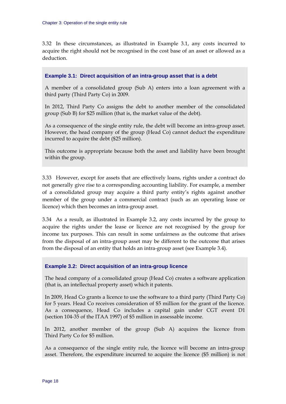3.32 In these circumstances, as illustrated in Example 3.1, any costs incurred to acquire the right should not be recognised in the cost base of an asset or allowed as a deduction.

#### **Example 3.1: Direct acquisition of an intra-group asset that is a debt**

A member of a consolidated group (Sub A) enters into a loan agreement with a third party (Third Party Co) in 2009.

In 2012, Third Party Co assigns the debt to another member of the consolidated group (Sub B) for \$25 million (that is, the market value of the debt).

As a consequence of the single entity rule, the debt will become an intra-group asset. However, the head company of the group (Head Co) cannot deduct the expenditure incurred to acquire the debt (\$25 million).

This outcome is appropriate because both the asset and liability have been brought within the group.

3.33 However, except for assets that are effectively loans, rights under a contract do not generally give rise to a corresponding accounting liability. For example, a member of a consolidated group may acquire a third party entity's rights against another member of the group under a commercial contract (such as an operating lease or licence) which then becomes an intra-group asset.

3.34 As a result, as illustrated in Example 3.2, any costs incurred by the group to acquire the rights under the lease or licence are not recognised by the group for income tax purposes. This can result in some unfairness as the outcome that arises from the disposal of an intra-group asset may be different to the outcome that arises from the disposal of an entity that holds an intra-group asset (see Example 3.4).

#### **Example 3.2: Direct acquisition of an intra-group licence**

The head company of a consolidated group (Head Co) creates a software application (that is, an intellectual property asset) which it patents.

In 2009, Head Co grants a licence to use the software to a third party (Third Party Co) for 5 years. Head Co receives consideration of \$5 million for the grant of the licence. As a consequence, Head Co includes a capital gain under CGT event D1 (section 104-35 of the ITAA 1997) of \$5 million in assessable income.

In 2012, another member of the group (Sub A) acquires the licence from Third Party Co for \$5 million.

As a consequence of the single entity rule, the licence will become an intra-group asset. Therefore, the expenditure incurred to acquire the licence (\$5 million) is not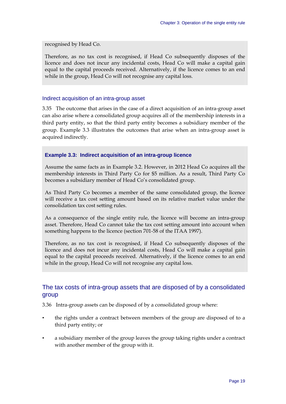recognised by Head Co.

Therefore, as no tax cost is recognised, if Head Co subsequently disposes of the licence and does not incur any incidental costs, Head Co will make a capital gain equal to the capital proceeds received. Alternatively, if the licence comes to an end while in the group, Head Co will not recognise any capital loss.

#### Indirect acquisition of an intra-group asset

3.35 The outcome that arises in the case of a direct acquisition of an intra-group asset can also arise where a consolidated group acquires all of the membership interests in a third party entity, so that the third party entity becomes a subsidiary member of the group. Example 3.3 illustrates the outcomes that arise when an intra-group asset is acquired indirectly.

#### **Example 3.3: Indirect acquisition of an intra-group licence**

Assume the same facts as in Example 3.2. However, in 2012 Head Co acquires all the membership interests in Third Party Co for \$5 million. As a result, Third Party Co becomes a subsidiary member of Head Co's consolidated group.

As Third Party Co becomes a member of the same consolidated group, the licence will receive a tax cost setting amount based on its relative market value under the consolidation tax cost setting rules.

As a consequence of the single entity rule, the licence will become an intra-group asset. Therefore, Head Co cannot take the tax cost setting amount into account when something happens to the licence (section 701-58 of the ITAA 1997).

Therefore, as no tax cost is recognised, if Head Co subsequently disposes of the licence and does not incur any incidental costs, Head Co will make a capital gain equal to the capital proceeds received. Alternatively, if the licence comes to an end while in the group, Head Co will not recognise any capital loss.

#### The tax costs of intra-group assets that are disposed of by a consolidated group

3.36 Intra-group assets can be disposed of by a consolidated group where:

- the rights under a contract between members of the group are disposed of to a third party entity; or
- a subsidiary member of the group leaves the group taking rights under a contract with another member of the group with it.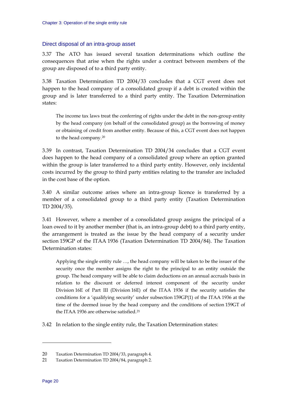#### <span id="page-25-0"></span>Direct disposal of an intra-group asset

3.37 The ATO has issued several taxation determinations which outline the consequences that arise when the rights under a contract between members of the group are disposed of to a third party entity.

3.38 Taxation Determination TD 2004/33 concludes that a CGT event does not happen to the head company of a consolidated group if a debt is created within the group and is later transferred to a third party entity. The Taxation Determination states:

The income tax laws treat the conferring of rights under the debt in the non-group entity by the head company (on behalf of the consolidated group) as the borrowing of money or obtaining of credit from another entity. Because of this, a CGT event does not happen to the head company.[20](#page-25-0)

3.39 In contrast, Taxation Determination TD 2004/34 concludes that a CGT event does happen to the head company of a consolidated group where an option granted within the group is later transferred to a third party entity. However, only incidental costs incurred by the group to third party entities relating to the transfer are included in the cost base of the option.

3.40 A similar outcome arises where an intra-group licence is transferred by a member of a consolidated group to a third party entity (Taxation Determination TD 2004/35).

3.41 However, where a member of a consolidated group assigns the principal of a loan owed to it by another member (that is, an intra-group debt) to a third party entity, the arrangement is treated as the issue by the head company of a security under section 159GP of the ITAA 1936 (Taxation Determination TD 2004/84). The Taxation Determination states:

Applying the single entity rule …, the head company will be taken to be the issuer of the security once the member assigns the right to the principal to an entity outside the group. The head company will be able to claim deductions on an annual accruals basis in relation to the discount or deferred interest component of the security under Division 16E of Part III (Division 16E) of the ITAA 1936 if the security satisfies the conditions for a 'qualifying security' under subsection 159GP(1) of the ITAA 1936 at the time of the deemed issue by the head company and the conditions of section 159GT of the ITAA 1936 are otherwise satisfied.[21](#page-25-0)

3.42 In relation to the single entity rule, the Taxation Determination states:

<sup>20</sup> Taxation Determination TD 2004/33, paragraph 4.

<sup>21</sup> Taxation Determination TD 2004/84, paragraph 2.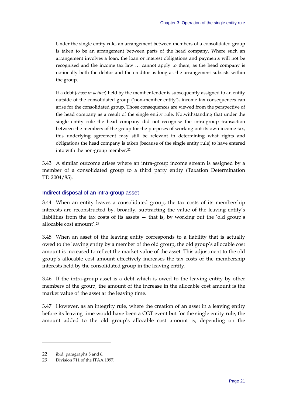<span id="page-26-0"></span>Under the single entity rule, an arrangement between members of a consolidated group is taken to be an arrangement between parts of the head company. Where such an arrangement involves a loan, the loan or interest obligations and payments will not be recognised and the income tax law … cannot apply to them, as the head company is notionally both the debtor and the creditor as long as the arrangement subsists within the group.

If a debt (*chose in action*) held by the member lender is subsequently assigned to an entity outside of the consolidated group ('non-member entity'), income tax consequences can arise for the consolidated group. Those consequences are viewed from the perspective of the head company as a result of the single entity rule. Notwithstanding that under the single entity rule the head company did not recognise the intra-group transaction between the members of the group for the purposes of working out its own income tax, this underlying agreement may still be relevant in determining what rights and obligations the head company is taken (because of the single entity rule) to have entered into with the non-group member.<sup>[22](#page-26-0)</sup>

3.43 A similar outcome arises where an intra-group income stream is assigned by a member of a consolidated group to a third party entity (Taxation Determination TD 2004/85).

#### Indirect disposal of an intra-group asset

3.44 When an entity leaves a consolidated group, the tax costs of its membership interests are reconstructed by, broadly, subtracting the value of the leaving entity's liabilities from the tax costs of its assets — that is, by working out the 'old group's allocable cost amount' $23$ 

3.45 When an asset of the leaving entity corresponds to a liability that is actually owed to the leaving entity by a member of the old group, the old group's allocable cost amount is increased to reflect the market value of the asset. This adjustment to the old group's allocable cost amount effectively increases the tax costs of the membership interests held by the consolidated group in the leaving entity.

3.46 If the intra-group asset is a debt which is owed to the leaving entity by other members of the group, the amount of the increase in the allocable cost amount is the market value of the asset at the leaving time.

3.47 However, as an integrity rule, where the creation of an asset in a leaving entity before its leaving time would have been a CGT event but for the single entity rule, the amount added to the old group's allocable cost amount is, depending on the

<sup>22</sup> ibid, paragraphs 5 and 6.

<sup>23</sup> Division 711 of the ITAA 1997.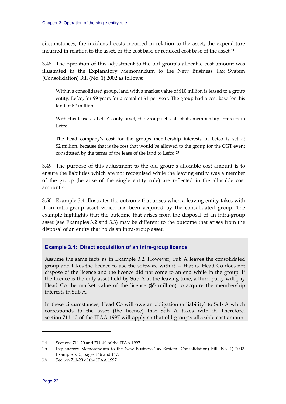<span id="page-27-0"></span>circumstances, the incidental costs incurred in relation to the asset, the expenditure incurred in relation to the asset, or the cost base or reduced cost base of the asset.<sup>[24](#page-27-0)</sup>

3.48 The operation of this adjustment to the old group's allocable cost amount was illustrated in the Explanatory Memorandum to the New Business Tax System (Consolidation) Bill (No. 1) 2002 as follows:

Within a consolidated group, land with a market value of \$10 million is leased to a group entity, Lefco, for 99 years for a rental of \$1 per year. The group had a cost base for this land of \$2 million.

With this lease as Lefco's only asset, the group sells all of its membership interests in Lefco.

The head company's cost for the groups membership interests in Lefco is set at \$2 million, because that is the cost that would be allowed to the group for the CGT event constituted by the terms of the lease of the land to Lefco.[25](#page-27-0)

3.49 The purpose of this adjustment to the old group's allocable cost amount is to ensure the liabilities which are not recognised while the leaving entity was a member of the group (because of the single entity rule) are reflected in the allocable cost amount  $26$ 

3.50 Example 3.4 illustrates the outcome that arises when a leaving entity takes with it an intra-group asset which has been acquired by the consolidated group. The example highlights that the outcome that arises from the disposal of an intra-group asset (see Examples 3.2 and 3.3) may be different to the outcome that arises from the disposal of an entity that holds an intra-group asset.

#### **Example 3.4: Direct acquisition of an intra-group licence**

Assume the same facts as in Example 3.2. However, Sub A leaves the consolidated group and takes the licence to use the software with it — that is, Head Co does not dispose of the licence and the licence did not come to an end while in the group. If the licence is the only asset held by Sub A at the leaving time, a third party will pay Head Co the market value of the licence (\$5 million) to acquire the membership interests in Sub A.

In these circumstances, Head Co will owe an obligation (a liability) to Sub A which corresponds to the asset (the licence) that Sub A takes with it. Therefore, section 711-40 of the ITAA 1997 will apply so that old group's allocable cost amount

<sup>24</sup> Sections 711-20 and 711-40 of the ITAA 1997.

<sup>25</sup> Explanatory Memorandum to the New Business Tax System (Consolidation) Bill (No. 1) 2002, Example 5.15, pages 146 and 147.

<sup>26</sup> Section 711-20 of the ITAA 1997.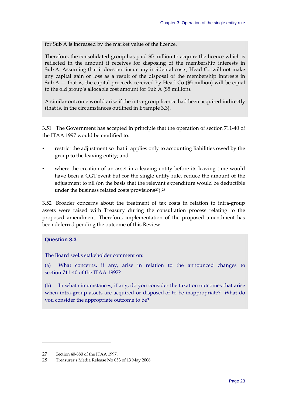<span id="page-28-0"></span>for Sub A is increased by the market value of the licence.

Therefore, the consolidated group has paid \$5 million to acquire the licence which is reflected in the amount it receives for disposing of the membership interests in Sub A. Assuming that it does not incur any incidental costs, Head Co will not make any capital gain or loss as a result of the disposal of the membership interests in Sub  $A$  – that is, the capital proceeds received by Head Co (\$5 million) will be equal to the old group's allocable cost amount for Sub A (\$5 million).

A similar outcome would arise if the intra-group licence had been acquired indirectly (that is, in the circumstances outlined in Example 3.3).

3.51 The Government has accepted in principle that the operation of section 711-40 of the ITAA 1997 would be modified to:

- restrict the adjustment so that it applies only to accounting liabilities owed by the group to the leaving entity; and
- where the creation of an asset in a leaving entity before its leaving time would have been a CGT event but for the single entity rule, reduce the amount of the adjustment to nil (on the basis that the relevant expenditure would be deductible under the business related costs provisions $27$ ).<sup>[28](#page-28-0)</sup>

3.52 Broader concerns about the treatment of tax costs in relation to intra-group assets were raised with Treasury during the consultation process relating to the proposed amendment. Therefore, implementation of the proposed amendment has been deferred pending the outcome of this Review.

#### **Question 3.3**

 $\overline{a}$ 

The Board seeks stakeholder comment on:

(a) What concerns, if any, arise in relation to the announced changes to section 711-40 of the ITAA 1997?

(b) In what circumstances, if any, do you consider the taxation outcomes that arise when intra-group assets are acquired or disposed of to be inappropriate? What do you consider the appropriate outcome to be?

<sup>27</sup> Section 40-880 of the ITAA 1997.

<sup>28</sup> Treasurer's Media Release No 053 of 13 May 2008.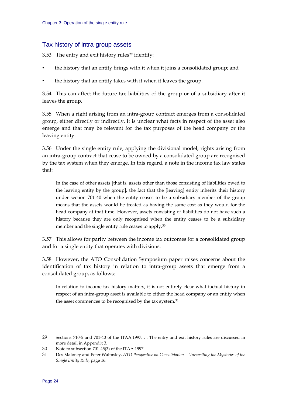#### <span id="page-29-0"></span>Tax history of intra-group assets

3.53 The entry and exit history rules<sup>[29](#page-29-0)</sup> identify:

- the history that an entity brings with it when it joins a consolidated group; and
- the history that an entity takes with it when it leaves the group.

3.54 This can affect the future tax liabilities of the group or of a subsidiary after it leaves the group.

3.55 When a right arising from an intra-group contract emerges from a consolidated group, either directly or indirectly, it is unclear what facts in respect of the asset also emerge and that may be relevant for the tax purposes of the head company or the leaving entity.

3.56 Under the single entity rule, applying the divisional model, rights arising from an intra-group contract that cease to be owned by a consolidated group are recognised by the tax system when they emerge. In this regard, a note in the income tax law states that:

In the case of other assets [that is, assets other than those consisting of liabilities owed to the leaving entity by the group], the fact that the [leaving] entity inherits their history under section 701-40 when the entity ceases to be a subsidiary member of the group means that the assets would be treated as having the same cost as they would for the head company at that time. However, assets consisting of liabilities do not have such a history because they are only recognised when the entity ceases to be a subsidiary member and the single entity rule ceases to apply.<sup>[30](#page-29-0)</sup>

3.57 This allows for parity between the income tax outcomes for a consolidated group and for a single entity that operates with divisions.

3.58 However, the ATO Consolidation Symposium paper raises concerns about the identification of tax history in relation to intra-group assets that emerge from a consolidated group, as follows:

In relation to income tax history matters, it is not entirely clear what factual history in respect of an intra-group asset is available to either the head company or an entity when the asset commences to be recognised by the tax system.<sup>[31](#page-29-0)</sup>

 $\ddot{\phantom{a}}$ 

<sup>29</sup> Sections 710-5 and 701-40 of the ITAA 1997. . . The entry and exit history rules are discussed in more detail in Appendix 3.

<sup>30</sup> Note to subsection 701-45(3) of the ITAA 1997.

<sup>31</sup> Des Maloney and Peter Walmsley, *ATO Perspective on Consolidation – Unravelling the Mysteries of the Single Entity Rule*, page 16.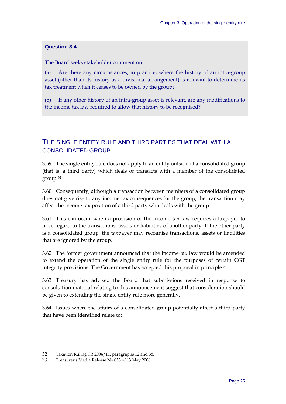#### <span id="page-30-0"></span>**Question 3.4**

The Board seeks stakeholder comment on:

(a) Are there any circumstances, in practice, where the history of an intra-group asset (other than its history as a divisional arrangement) is relevant to determine its tax treatment when it ceases to be owned by the group?

(b) If any other history of an intra-group asset is relevant, are any modifications to the income tax law required to allow that history to be recognised?

## THE SINGLE ENTITY RULE AND THIRD PARTIES THAT DEAL WITH A CONSOLIDATED GROUP

3.59 The single entity rule does not apply to an entity outside of a consolidated group (that is, a third party) which deals or transacts with a member of the consolidated group.[32](#page-30-0)

3.60 Consequently, although a transaction between members of a consolidated group does not give rise to any income tax consequences for the group, the transaction may affect the income tax position of a third party who deals with the group.

3.61 This can occur when a provision of the income tax law requires a taxpayer to have regard to the transactions, assets or liabilities of another party. If the other party is a consolidated group, the taxpayer may recognise transactions, assets or liabilities that are ignored by the group.

3.62 The former government announced that the income tax law would be amended to extend the operation of the single entity rule for the purposes of certain CGT integrity provisions. The Government has accepted this proposal in principle.[33](#page-30-0)

3.63 Treasury has advised the Board that submissions received in response to consultation material relating to this announcement suggest that consideration should be given to extending the single entity rule more generally.

3.64 Issues where the affairs of a consolidated group potentially affect a third party that have been identified relate to:

<sup>32</sup> Taxation Ruling TR 2004/11, paragraphs 12 and 38.

<sup>33</sup> Treasurer's Media Release No 053 of 13 May 2008.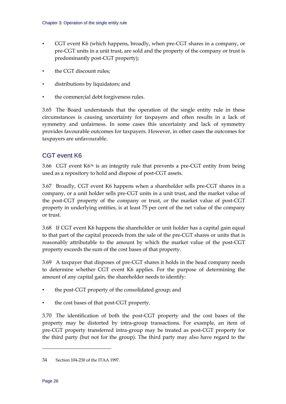- <span id="page-31-0"></span>• CGT event K6 (which happens, broadly, when pre-CGT shares in a company, or pre-CGT units in a unit trust, are sold and the property of the company or trust is predominantly post-CGT property);
- the CGT discount rules;
- distributions by liquidators; and
- the commercial debt forgiveness rules.

3.65 The Board understands that the operation of the single entity rule in these circumstances is causing uncertainty for taxpayers and often results in a lack of symmetry and unfairness. In some cases this uncertainty and lack of symmetry provides favourable outcomes for taxpayers. However, in other cases the outcomes for taxpayers are unfavourable.

## CGT event K6

3.66 CGT event K6[34](#page-31-0) is an integrity rule that prevents a pre-CGT entity from being used as a repository to hold and dispose of post-CGT assets.

3.67 Broadly, CGT event K6 happens when a shareholder sells pre-CGT shares in a company, or a unit holder sells pre-CGT units in a unit trust, and the market value of the post-CGT property of the company or trust, or the market value of post-CGT property in underlying entities, is at least 75 per cent of the net value of the company or trust.

3.68 If CGT event K6 happens the shareholder or unit holder has a capital gain equal to that part of the capital proceeds from the sale of the pre-CGT shares or units that is reasonably attributable to the amount by which the market value of the post-CGT property exceeds the sum of the cost bases of that property.

3.69 A taxpayer that disposes of pre-CGT shares it holds in the head company needs to determine whether CGT event K6 applies. For the purpose of determining the amount of any capital gain, the shareholder needs to identify:

- the post-CGT property of the consolidated group; and
- the cost bases of that post-CGT property.

3.70 The identification of both the post-CGT property and the cost bases of the property may be distorted by intra-group transactions. For example, an item of pre-CGT property transferred intra-group may be treated as post-CGT property for the third party (but not for the group). The third party may also have regard to the

 $\ddot{\phantom{a}}$ 

<sup>34</sup> Section 104-230 of the ITAA 1997.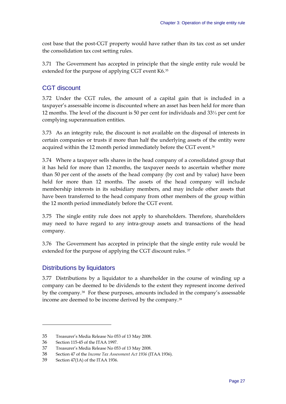<span id="page-32-0"></span>cost base that the post-CGT property would have rather than its tax cost as set under the consolidation tax cost setting rules.

3.71 The Government has accepted in principle that the single entity rule would be extended for the purpose of applying CGT event K6.[35](#page-32-0)

## CGT discount

3.72 Under the CGT rules, the amount of a capital gain that is included in a taxpayer's assessable income is discounted where an asset has been held for more than 12 months. The level of the discount is 50 per cent for individuals and 33⅓ per cent for complying superannuation entities.

3.73 As an integrity rule, the discount is not available on the disposal of interests in certain companies or trusts if more than half the underlying assets of the entity were acquired within the 12 month period immediately before the CGT event.<sup>[36](#page-32-0)</sup>

3.74 Where a taxpayer sells shares in the head company of a consolidated group that it has held for more than 12 months, the taxpayer needs to ascertain whether more than 50 per cent of the assets of the head company (by cost and by value) have been held for more than 12 months. The assets of the head company will include membership interests in its subsidiary members, and may include other assets that have been transferred to the head company from other members of the group within the 12 month period immediately before the CGT event.

3.75 The single entity rule does not apply to shareholders. Therefore, shareholders may need to have regard to any intra-group assets and transactions of the head company.

3.76 The Government has accepted in principle that the single entity rule would be extended for the purpose of applying the CGT discount rules. [37](#page-32-0)

## Distributions by liquidators

3.77 Distributions by a liquidator to a shareholder in the course of winding up a company can be deemed to be dividends to the extent they represent income derived by the company.[38](#page-32-0) For these purposes, amounts included in the company's assessable income are deemed to be income derived by the company.[39](#page-32-0)

<sup>35</sup> Treasurer's Media Release No 053 of 13 May 2008.

<sup>36</sup> Section 115-45 of the ITAA 1997.

<sup>37</sup> Treasurer's Media Release No 053 of 13 May 2008.

<sup>38</sup> Section 47 of the *Income Tax Assessment Act 1936* (ITAA 1936).

<sup>39</sup> Section 47(1A) of the ITAA 1936.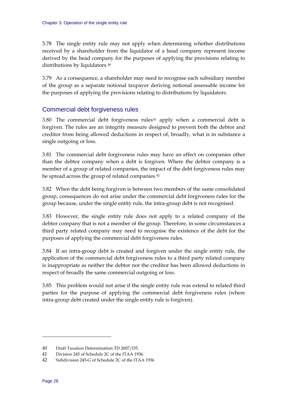<span id="page-33-0"></span>3.78 The single entity rule may not apply when determining whether distributions received by a shareholder from the liquidator of a head company represent income derived by the head company for the purposes of applying the provisions relating to distributions by liquidators.[40](#page-33-0)

3.79 As a consequence, a shareholder may need to recognise each subsidiary member of the group as a separate notional taxpayer deriving notional assessable income for the purposes of applying the provisions relating to distributions by liquidators.

## Commercial debt forgiveness rules

3.80 The commercial debt forgiveness rules<sup>[41](#page-33-0)</sup> apply when a commercial debt is forgiven. The rules are an integrity measure designed to prevent both the debtor and creditor from being allowed deductions in respect of, broadly, what is in substance a single outgoing or loss.

3.81 The commercial debt forgiveness rules may have an effect on companies other than the debtor company when a debt is forgiven. Where the debtor company is a member of a group of related companies, the impact of the debt forgiveness rules may be spread across the group of related companies.[42](#page-33-0)

3.82 When the debt being forgiven is between two members of the same consolidated group, consequences do not arise under the commercial debt forgiveness rules for the group because, under the single entity rule, the intra-group debt is not recognised.

3.83 However, the single entity rule does not apply to a related company of the debtor company that is not a member of the group. Therefore, in some circumstances a third party related company may need to recognise the existence of the debt for the purposes of applying the commercial debt forgiveness rules.

3.84 If an intra-group debt is created and forgiven under the single entity rule, the application of the commercial debt forgiveness rules to a third party related company is inappropriate as neither the debtor nor the creditor has been allowed deductions in respect of broadly the same commercial outgoing or loss.

3.85 This problem would not arise if the single entity rule was extend to related third parties for the purpose of applying the commercial debt forgiveness rules (where intra-group debt created under the single entity rule is forgiven).

<sup>40</sup> Draft Taxation Determination TD 2007/D5.

<sup>41</sup> Division 245 of Schedule 2C of the ITAA 1936.

<sup>42</sup> Subdivision 245-G of Schedule 2C of the ITAA 1936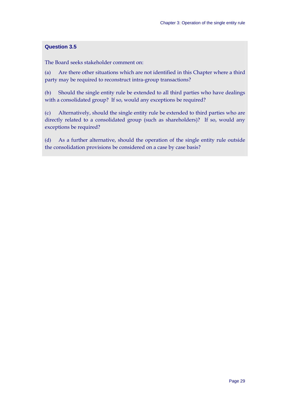#### **Question 3.5**

The Board seeks stakeholder comment on:

(a) Are there other situations which are not identified in this Chapter where a third party may be required to reconstruct intra-group transactions?

(b) Should the single entity rule be extended to all third parties who have dealings with a consolidated group? If so, would any exceptions be required?

(c) Alternatively, should the single entity rule be extended to third parties who are directly related to a consolidated group (such as shareholders)? If so, would any exceptions be required?

(d) As a further alternative, should the operation of the single entity rule outside the consolidation provisions be considered on a case by case basis?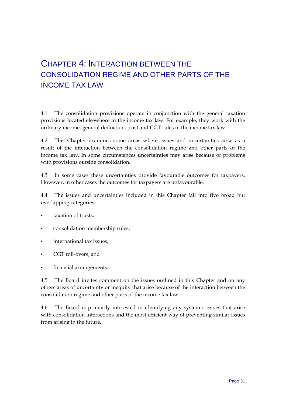# CHAPTER 4: INTERACTION BETWEEN THE CONSOLIDATION REGIME AND OTHER PARTS OF THE INCOME TAX LAW

4.1 The consolidation provisions operate in conjunction with the general taxation provisions located elsewhere in the income tax law. For example, they work with the ordinary income, general deduction, trust and CGT rules in the income tax law.

4.2 This Chapter examines some areas where issues and uncertainties arise as a result of the interaction between the consolidation regime and other parts of the income tax law. In some circumstances uncertainties may arise because of problems with provisions outside consolidation.

4.3 In some cases these uncertainties provide favourable outcomes for taxpayers. However, in other cases the outcomes for taxpayers are unfavourable.

4.4 The issues and uncertainties included in this Chapter fall into five broad but overlapping categories:

- taxation of trusts:
- consolidation membership rules;
- international tax issues:
- CGT roll-overs; and
- financial arrangements.

4.5 The Board invites comment on the issues outlined in this Chapter and on any others areas of uncertainty or inequity that arise because of the interaction between the consolidation regime and other parts of the income tax law.

4.6 The Board is primarily interested in identifying any systemic issues that arise with consolidation interactions and the most efficient way of preventing similar issues from arising in the future.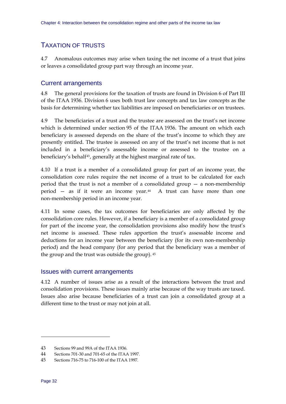# <span id="page-37-0"></span>TAXATION OF TRUSTS

4.7 Anomalous outcomes may arise when taxing the net income of a trust that joins or leaves a consolidated group part way through an income year.

## Current arrangements

4.8 The general provisions for the taxation of trusts are found in Division 6 of Part III of the ITAA 1936. Division 6 uses both trust law concepts and tax law concepts as the basis for determining whether tax liabilities are imposed on beneficiaries or on trustees.

4.9 The beneficiaries of a trust and the trustee are assessed on the trust's net income which is determined under section 95 of the ITAA 1936. The amount on which each beneficiary is assessed depends on the share of the trust's income to which they are presently entitled. The trustee is assessed on any of the trust's net income that is not included in a beneficiary's assessable income or assessed to the trustee on a beneficiary's behalf<sup>[43](#page-37-0)</sup>, generally at the highest marginal rate of tax.

4.10 If a trust is a member of a consolidated group for part of an income year, the consolidation core rules require the net income of a trust to be calculated for each period that the trust is not a member of a consolidated group  $-$  a non-membership period  $-$  as if it were an income year.<sup>[44](#page-37-0)</sup> A trust can have more than one non-membership period in an income year.

4.11 In some cases, the tax outcomes for beneficiaries are only affected by the consolidation core rules. However, if a beneficiary is a member of a consolidated group for part of the income year, the consolidation provisions also modify how the trust's net income is assessed. These rules apportion the trust's assessable income and deductions for an income year between the beneficiary (for its own non-membership period) and the head company (for any period that the beneficiary was a member of the group and the trust was outside the group). [45](#page-37-0)

## Issues with current arrangements

4.12 A number of issues arise as a result of the interactions between the trust and consolidation provisions. These issues mainly arise because of the way trusts are taxed. Issues also arise because beneficiaries of a trust can join a consolidated group at a different time to the trust or may not join at all.

**.** 

<sup>43</sup> Sections 99 and 99A of the ITAA 1936.

<sup>44</sup> Sections 701-30 and 701-65 of the ITAA 1997.

<sup>45</sup> Sections 716-75 to 716-100 of the ITAA 1997.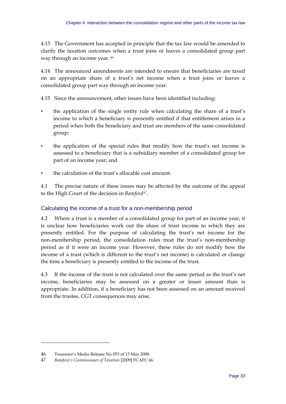<span id="page-38-0"></span>4.13 The Government has accepted in principle that the tax law would be amended to clarify the taxation outcomes when a trust joins or leaves a consolidated group part way through an income year. [46](#page-38-0)

4.14 The announced amendments are intended to ensure that beneficiaries are taxed on an appropriate share of a trust's net income when a trust joins or leaves a consolidated group part way through an income year.

4.15 Since the announcement, other issues have been identified including:

- the application of the single entity rule when calculating the share of a trust's income to which a beneficiary is presently entitled if that entitlement arises in a period when both the beneficiary and trust are members of the same consolidated group;
- the application of the special rules that modify how the trust's net income is assessed to a beneficiary that is a subsidiary member of a consolidated group for part of an income year; and
- the calculation of the trust's allocable cost amount.

4.1 The precise nature of these issues may be affected by the outcome of the appeal to the High Court of the decision in *Bamford[47](#page-38-0)*.

## Calculating the income of a trust for a non-membership period

4.2 Where a trust is a member of a consolidated group for part of an income year, it is unclear how beneficiaries work out the share of trust income to which they are presently entitled. For the purpose of calculating the trust's net income for the non-membership period, the consolidation rules treat the trust's non-membership period as if it were an income year. However, these rules do not modify how the income of a trust (which is different to the trust's net income) is calculated or change the time a beneficiary is presently entitled to the income of the trust.

4.3 If the income of the trust is not calculated over the same period as the trust's net income, beneficiaries may be assessed on a greater or lesser amount than is appropriate. In addition, if a beneficiary has not been assessed on an amount received from the trustee, CGT consequences may arise.

**.** 

<sup>46</sup> Treasurer's Media Release No 053 of 13 May 2008.

<sup>47</sup> *Bamford v Commissioner of Taxation* [2009] FCAFC 66.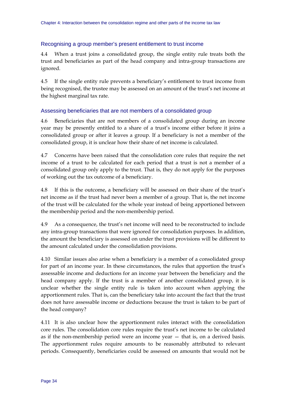## Recognising a group member's present entitlement to trust income

4.4 When a trust joins a consolidated group, the single entity rule treats both the trust and beneficiaries as part of the head company and intra-group transactions are ignored.

4.5 If the single entity rule prevents a beneficiary's entitlement to trust income from being recognised, the trustee may be assessed on an amount of the trust's net income at the highest marginal tax rate.

## Assessing beneficiaries that are not members of a consolidated group

4.6 Beneficiaries that are not members of a consolidated group during an income year may be presently entitled to a share of a trust's income either before it joins a consolidated group or after it leaves a group. If a beneficiary is not a member of the consolidated group, it is unclear how their share of net income is calculated.

4.7 Concerns have been raised that the consolidation core rules that require the net income of a trust to be calculated for each period that a trust is not a member of a consolidated group only apply to the trust. That is, they do not apply for the purposes of working out the tax outcome of a beneficiary.

4.8 If this is the outcome, a beneficiary will be assessed on their share of the trust's net income as if the trust had never been a member of a group. That is, the net income of the trust will be calculated for the whole year instead of being apportioned between the membership period and the non-membership period.

4.9 As a consequence, the trust's net income will need to be reconstructed to include any intra-group transactions that were ignored for consolidation purposes. In addition, the amount the beneficiary is assessed on under the trust provisions will be different to the amount calculated under the consolidation provisions.

4.10 Similar issues also arise when a beneficiary is a member of a consolidated group for part of an income year. In these circumstances, the rules that apportion the trust's assessable income and deductions for an income year between the beneficiary and the head company apply. If the trust is a member of another consolidated group, it is unclear whether the single entity rule is taken into account when applying the apportionment rules. That is, can the beneficiary take into account the fact that the trust does not have assessable income or deductions because the trust is taken to be part of the head company?

4.11 It is also unclear how the apportionment rules interact with the consolidation core rules. The consolidation core rules require the trust's net income to be calculated as if the non-membership period were an income year — that is, on a derived basis. The apportionment rules require amounts to be reasonably attributed to relevant periods. Consequently, beneficiaries could be assessed on amounts that would not be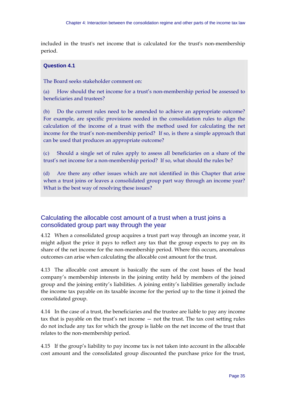included in the trust's net income that is calculated for the trust's non-membership period.

## **Question 4.1**

The Board seeks stakeholder comment on:

(a) How should the net income for a trust's non-membership period be assessed to beneficiaries and trustees?

(b) Do the current rules need to be amended to achieve an appropriate outcome? For example, are specific provisions needed in the consolidation rules to align the calculation of the income of a trust with the method used for calculating the net income for the trust's non-membership period? If so, is there a simple approach that can be used that produces an appropriate outcome?

(c) Should a single set of rules apply to assess all beneficiaries on a share of the trust's net income for a non-membership period? If so, what should the rules be?

(d) Are there any other issues which are not identified in this Chapter that arise when a trust joins or leaves a consolidated group part way through an income year? What is the best way of resolving these issues?

## Calculating the allocable cost amount of a trust when a trust joins a consolidated group part way through the year

4.12 When a consolidated group acquires a trust part way through an income year, it might adjust the price it pays to reflect any tax that the group expects to pay on its share of the net income for the non-membership period. Where this occurs, anomalous outcomes can arise when calculating the allocable cost amount for the trust.

4.13 The allocable cost amount is basically the sum of the cost bases of the head company's membership interests in the joining entity held by members of the joined group and the joining entity's liabilities. A joining entity's liabilities generally include the income tax payable on its taxable income for the period up to the time it joined the consolidated group.

4.14 In the case of a trust, the beneficiaries and the trustee are liable to pay any income tax that is payable on the trust's net income — not the trust. The tax cost setting rules do not include any tax for which the group is liable on the net income of the trust that relates to the non-membership period.

4.15 If the group's liability to pay income tax is not taken into account in the allocable cost amount and the consolidated group discounted the purchase price for the trust,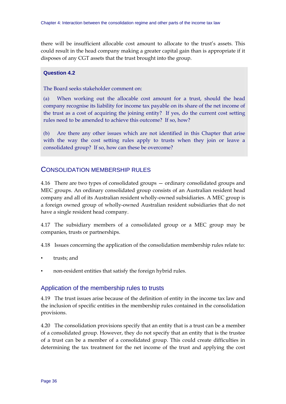there will be insufficient allocable cost amount to allocate to the trust's assets. This could result in the head company making a greater capital gain than is appropriate if it disposes of any CGT assets that the trust brought into the group.

#### **Question 4.2**

The Board seeks stakeholder comment on:

(a) When working out the allocable cost amount for a trust, should the head company recognise its liability for income tax payable on its share of the net income of the trust as a cost of acquiring the joining entity? If yes, do the current cost setting rules need to be amended to achieve this outcome? If so, how?

(b) Are there any other issues which are not identified in this Chapter that arise with the way the cost setting rules apply to trusts when they join or leave a consolidated group? If so, how can these be overcome?

## CONSOLIDATION MEMBERSHIP RULES

4.16 There are two types of consolidated groups — ordinary consolidated groups and MEC groups. An ordinary consolidated group consists of an Australian resident head company and all of its Australian resident wholly-owned subsidiaries. A MEC group is a foreign owned group of wholly-owned Australian resident subsidiaries that do not have a single resident head company.

4.17 The subsidiary members of a consolidated group or a MEC group may be companies, trusts or partnerships.

4.18 Issues concerning the application of the consolidation membership rules relate to:

- trusts; and
- non-resident entities that satisfy the foreign hybrid rules.

## Application of the membership rules to trusts

4.19 The trust issues arise because of the definition of entity in the income tax law and the inclusion of specific entities in the membership rules contained in the consolidation provisions.

4.20 The consolidation provisions specify that an entity that is a trust can be a member of a consolidated group. However, they do not specify that an entity that is the trustee of a trust can be a member of a consolidated group. This could create difficulties in determining the tax treatment for the net income of the trust and applying the cost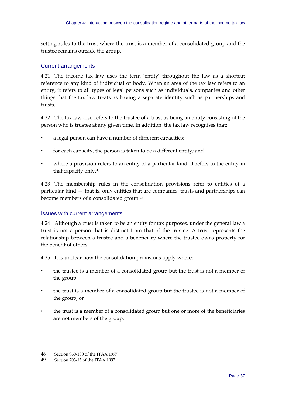<span id="page-42-0"></span>setting rules to the trust where the trust is a member of a consolidated group and the trustee remains outside the group.

### Current arrangements

4.21 The income tax law uses the term 'entity' throughout the law as a shortcut reference to any kind of individual or body. When an area of the tax law refers to an entity, it refers to all types of legal persons such as individuals, companies and other things that the tax law treats as having a separate identity such as partnerships and trusts.

4.22 The tax law also refers to the trustee of a trust as being an entity consisting of the person who is trustee at any given time. In addition, the tax law recognises that:

- a legal person can have a number of different capacities;
- for each capacity, the person is taken to be a different entity; and
- where a provision refers to an entity of a particular kind, it refers to the entity in that capacity only.[48](#page-42-0)

4.23 The membership rules in the consolidation provisions refer to entities of a particular kind — that is, only entities that are companies, trusts and partnerships can become members of a consolidated group.[49](#page-42-0)

## Issues with current arrangements

4.24 Although a trust is taken to be an entity for tax purposes, under the general law a trust is not a person that is distinct from that of the trustee. A trust represents the relationship between a trustee and a beneficiary where the trustee owns property for the benefit of others.

4.25 It is unclear how the consolidation provisions apply where:

- the trustee is a member of a consolidated group but the trust is not a member of the group;
- the trust is a member of a consolidated group but the trustee is not a member of the group; or
- the trust is a member of a consolidated group but one or more of the beneficiaries are not members of the group.

<u>.</u>

<sup>48</sup> Section 960-100 of the ITAA 1997

<sup>49</sup> Section 703-15 of the ITAA 1997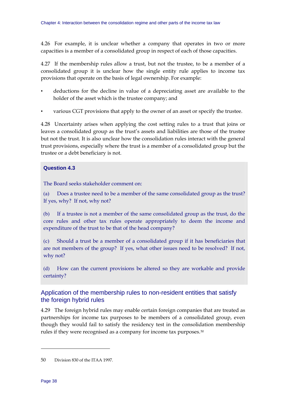<span id="page-43-0"></span>4.26 For example, it is unclear whether a company that operates in two or more capacities is a member of a consolidated group in respect of each of those capacities.

4.27 If the membership rules allow a trust, but not the trustee, to be a member of a consolidated group it is unclear how the single entity rule applies to income tax provisions that operate on the basis of legal ownership. For example:

- deductions for the decline in value of a depreciating asset are available to the holder of the asset which is the trustee company; and
- various CGT provisions that apply to the owner of an asset or specify the trustee.

4.28 Uncertainty arises when applying the cost setting rules to a trust that joins or leaves a consolidated group as the trust's assets and liabilities are those of the trustee but not the trust. It is also unclear how the consolidation rules interact with the general trust provisions, especially where the trust is a member of a consolidated group but the trustee or a debt beneficiary is not.

## **Question 4.3**

The Board seeks stakeholder comment on:

(a) Does a trustee need to be a member of the same consolidated group as the trust? If yes, why? If not, why not?

(b) If a trustee is not a member of the same consolidated group as the trust, do the core rules and other tax rules operate appropriately to deem the income and expenditure of the trust to be that of the head company?

(c) Should a trust be a member of a consolidated group if it has beneficiaries that are not members of the group? If yes, what other issues need to be resolved? If not, why not?

(d) How can the current provisions be altered so they are workable and provide certainty?

## Application of the membership rules to non-resident entities that satisfy the foreign hybrid rules

4.29 The foreign hybrid rules may enable certain foreign companies that are treated as partnerships for income tax purposes to be members of a consolidated group, even though they would fail to satisfy the residency test in the consolidation membership rules if they were recognised as a company for income tax purposes.[50](#page-43-0)

-

<sup>50</sup> Division 830 of the ITAA 1997.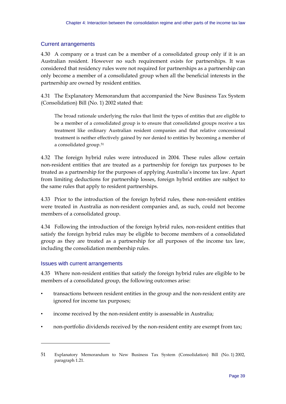## <span id="page-44-0"></span>Current arrangements

4.30 A company or a trust can be a member of a consolidated group only if it is an Australian resident. However no such requirement exists for partnerships. It was considered that residency rules were not required for partnerships as a partnership can only become a member of a consolidated group when all the beneficial interests in the partnership are owned by resident entities.

4.31 The Explanatory Memorandum that accompanied the New Business Tax System (Consolidation) Bill (No. 1) 2002 stated that:

The broad rationale underlying the rules that limit the types of entities that are eligible to be a member of a consolidated group is to ensure that consolidated groups receive a tax treatment like ordinary Australian resident companies and that relative concessional treatment is neither effectively gained by nor denied to entities by becoming a member of a consolidated group.<sup>[51](#page-44-0)</sup>

4.32 The foreign hybrid rules were introduced in 2004. These rules allow certain non-resident entities that are treated as a partnership for foreign tax purposes to be treated as a partnership for the purposes of applying Australia's income tax law. Apart from limiting deductions for partnership losses, foreign hybrid entities are subject to the same rules that apply to resident partnerships.

4.33 Prior to the introduction of the foreign hybrid rules, these non-resident entities were treated in Australia as non-resident companies and, as such, could not become members of a consolidated group.

4.34 Following the introduction of the foreign hybrid rules, non-resident entities that satisfy the foreign hybrid rules may be eligible to become members of a consolidated group as they are treated as a partnership for all purposes of the income tax law, including the consolidation membership rules.

## Issues with current arrangements

-

4.35 Where non-resident entities that satisfy the foreign hybrid rules are eligible to be members of a consolidated group, the following outcomes arise:

- transactions between resident entities in the group and the non-resident entity are ignored for income tax purposes;
- income received by the non-resident entity is assessable in Australia;
- non-portfolio dividends received by the non-resident entity are exempt from tax;

<sup>51</sup> Explanatory Memorandum to New Business Tax System (Consolidation) Bill (No. 1) 2002, paragraph 1.21.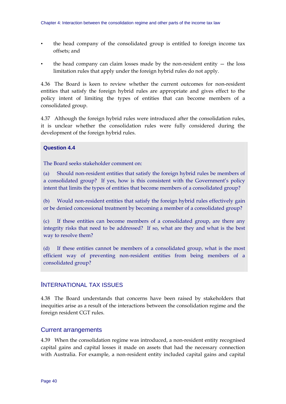- the head company of the consolidated group is entitled to foreign income tax offsets; and
- the head company can claim losses made by the non-resident entity  $-$  the loss limitation rules that apply under the foreign hybrid rules do not apply.

4.36 The Board is keen to review whether the current outcomes for non-resident entities that satisfy the foreign hybrid rules are appropriate and gives effect to the policy intent of limiting the types of entities that can become members of a consolidated group.

4.37 Although the foreign hybrid rules were introduced after the consolidation rules, it is unclear whether the consolidation rules were fully considered during the development of the foreign hybrid rules.

#### **Question 4.4**

The Board seeks stakeholder comment on:

(a) Should non-resident entities that satisfy the foreign hybrid rules be members of a consolidated group? If yes, how is this consistent with the Government's policy intent that limits the types of entities that become members of a consolidated group?

(b) Would non-resident entities that satisfy the foreign hybrid rules effectively gain or be denied concessional treatment by becoming a member of a consolidated group?

(c) If these entities can become members of a consolidated group, are there any integrity risks that need to be addressed? If so, what are they and what is the best way to resolve them?

(d) If these entities cannot be members of a consolidated group, what is the most efficient way of preventing non-resident entities from being members of a consolidated group?

## INTERNATIONAL TAX ISSUES

4.38 The Board understands that concerns have been raised by stakeholders that inequities arise as a result of the interactions between the consolidation regime and the foreign resident CGT rules.

## Current arrangements

4.39 When the consolidation regime was introduced, a non-resident entity recognised capital gains and capital losses it made on assets that had the necessary connection with Australia. For example, a non-resident entity included capital gains and capital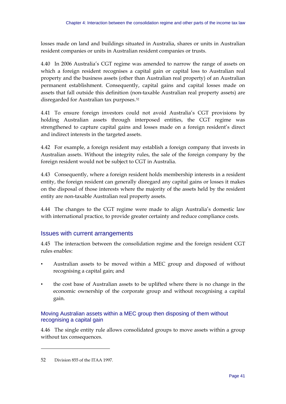<span id="page-46-0"></span>losses made on land and buildings situated in Australia, shares or units in Australian resident companies or units in Australian resident companies or trusts.

4.40 In 2006 Australia's CGT regime was amended to narrow the range of assets on which a foreign resident recognises a capital gain or capital loss to Australian real property and the business assets (other than Australian real property) of an Australian permanent establishment. Consequently, capital gains and capital losses made on assets that fall outside this definition (non-taxable Australian real property assets) are disregarded for Australian tax purposes.[52](#page-46-0)

4.41 To ensure foreign investors could not avoid Australia's CGT provisions by holding Australian assets through interposed entities, the CGT regime was strengthened to capture capital gains and losses made on a foreign resident's direct and indirect interests in the targeted assets.

4.42 For example, a foreign resident may establish a foreign company that invests in Australian assets. Without the integrity rules, the sale of the foreign company by the foreign resident would not be subject to CGT in Australia.

4.43 Consequently, where a foreign resident holds membership interests in a resident entity, the foreign resident can generally disregard any capital gains or losses it makes on the disposal of those interests where the majority of the assets held by the resident entity are non-taxable Australian real property assets.

4.44 The changes to the CGT regime were made to align Australia's domestic law with international practice, to provide greater certainty and reduce compliance costs.

## Issues with current arrangements

4.45 The interaction between the consolidation regime and the foreign resident CGT rules enables:

- Australian assets to be moved within a MEC group and disposed of without recognising a capital gain; and
- the cost base of Australian assets to be uplifted where there is no change in the economic ownership of the corporate group and without recognising a capital gain.

## Moving Australian assets within a MEC group then disposing of them without recognising a capital gain

4.46 The single entity rule allows consolidated groups to move assets within a group without tax consequences.

-

<sup>52</sup> Division 855 of the ITAA 1997.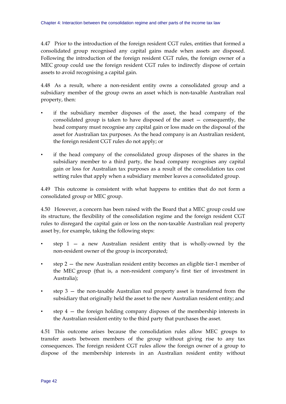4.47 Prior to the introduction of the foreign resident CGT rules, entities that formed a consolidated group recognised any capital gains made when assets are disposed. Following the introduction of the foreign resident CGT rules, the foreign owner of a MEC group could use the foreign resident CGT rules to indirectly dispose of certain assets to avoid recognising a capital gain.

4.48 As a result, where a non-resident entity owns a consolidated group and a subsidiary member of the group owns an asset which is non-taxable Australian real property, then:

- if the subsidiary member disposes of the asset, the head company of the consolidated group is taken to have disposed of the asset — consequently, the head company must recognise any capital gain or loss made on the disposal of the asset for Australian tax purposes. As the head company is an Australian resident, the foreign resident CGT rules do not apply; or
- if the head company of the consolidated group disposes of the shares in the subsidiary member to a third party, the head company recognises any capital gain or loss for Australian tax purposes as a result of the consolidation tax cost setting rules that apply when a subsidiary member leaves a consolidated group.

4.49 This outcome is consistent with what happens to entities that do not form a consolidated group or MEC group.

4.50 However, a concern has been raised with the Board that a MEC group could use its structure, the flexibility of the consolidation regime and the foreign resident CGT rules to disregard the capital gain or loss on the non-taxable Australian real property asset by, for example, taking the following steps:

- step  $1 a$  new Australian resident entity that is wholly-owned by the non-resident owner of the group is incorporated;
- step 2 the new Australian resident entity becomes an eligible tier-1 member of the MEC group (that is, a non-resident company's first tier of investment in Australia);
- step 3 the non-taxable Australian real property asset is transferred from the subsidiary that originally held the asset to the new Australian resident entity; and
- step  $4$  the foreign holding company disposes of the membership interests in the Australian resident entity to the third party that purchases the asset.

4.51 This outcome arises because the consolidation rules allow MEC groups to transfer assets between members of the group without giving rise to any tax consequences. The foreign resident CGT rules allow the foreign owner of a group to dispose of the membership interests in an Australian resident entity without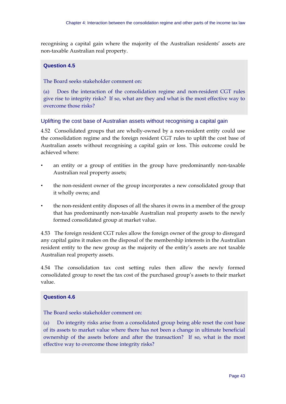recognising a capital gain where the majority of the Australian residents' assets are non-taxable Australian real property.

## **Question 4.5**

The Board seeks stakeholder comment on:

(a) Does the interaction of the consolidation regime and non-resident CGT rules give rise to integrity risks? If so, what are they and what is the most effective way to overcome those risks?

## Uplifting the cost base of Australian assets without recognising a capital gain

4.52 Consolidated groups that are wholly-owned by a non-resident entity could use the consolidation regime and the foreign resident CGT rules to uplift the cost base of Australian assets without recognising a capital gain or loss. This outcome could be achieved where:

- an entity or a group of entities in the group have predominantly non-taxable Australian real property assets;
- the non-resident owner of the group incorporates a new consolidated group that it wholly owns; and
- the non-resident entity disposes of all the shares it owns in a member of the group that has predominantly non-taxable Australian real property assets to the newly formed consolidated group at market value.

4.53 The foreign resident CGT rules allow the foreign owner of the group to disregard any capital gains it makes on the disposal of the membership interests in the Australian resident entity to the new group as the majority of the entity's assets are not taxable Australian real property assets.

4.54 The consolidation tax cost setting rules then allow the newly formed consolidated group to reset the tax cost of the purchased group's assets to their market value.

## **Question 4.6**

The Board seeks stakeholder comment on:

(a) Do integrity risks arise from a consolidated group being able reset the cost base of its assets to market value where there has not been a change in ultimate beneficial ownership of the assets before and after the transaction? If so, what is the most effective way to overcome those integrity risks?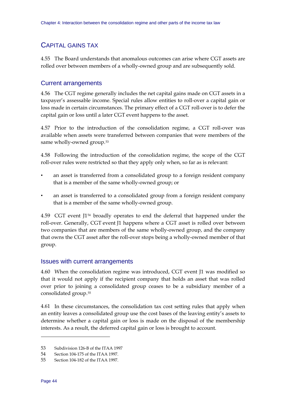## <span id="page-49-0"></span>CAPITAL GAINS TAX

4.55 The Board understands that anomalous outcomes can arise where CGT assets are rolled over between members of a wholly-owned group and are subsequently sold.

## Current arrangements

4.56 The CGT regime generally includes the net capital gains made on CGT assets in a taxpayer's assessable income. Special rules allow entities to roll-over a capital gain or loss made in certain circumstances. The primary effect of a CGT roll-over is to defer the capital gain or loss until a later CGT event happens to the asset.

4.57 Prior to the introduction of the consolidation regime, a CGT roll-over was available when assets were transferred between companies that were members of the same wholly-owned group.<sup>[53](#page-49-0)</sup>

4.58 Following the introduction of the consolidation regime, the scope of the CGT roll-over rules were restricted so that they apply only when, so far as is relevant:

- an asset is transferred from a consolidated group to a foreign resident company that is a member of the same wholly-owned group; or
- an asset is transferred to a consolidated group from a foreign resident company that is a member of the same wholly-owned group.

4.59 CGT event J1[54](#page-49-0) broadly operates to end the deferral that happened under the roll-over. Generally, CGT event J1 happens where a CGT asset is rolled over between two companies that are members of the same wholly-owned group, and the company that owns the CGT asset after the roll-over stops being a wholly-owned member of that group.

## Issues with current arrangements

4.60 When the consolidation regime was introduced, CGT event J1 was modified so that it would not apply if the recipient company that holds an asset that was rolled over prior to joining a consolidated group ceases to be a subsidiary member of a consolidated group.[55](#page-49-0)

4.61 In these circumstances, the consolidation tax cost setting rules that apply when an entity leaves a consolidated group use the cost bases of the leaving entity's assets to determine whether a capital gain or loss is made on the disposal of the membership interests. As a result, the deferred capital gain or loss is brought to account.

<u>.</u>

<sup>53</sup> Subdivision 126-B of the ITAA 1997

<sup>54</sup> Section 104-175 of the ITAA 1997.

<sup>55</sup> Section 104-182 of the ITAA 1997.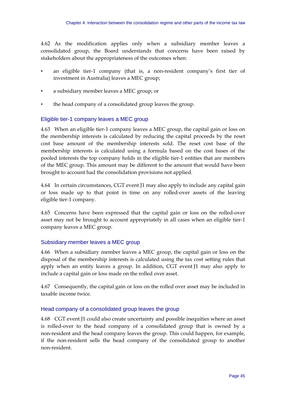4.62 As the modification applies only when a subsidiary member leaves a consolidated group, the Board understands that concerns have been raised by stakeholders about the appropriateness of the outcomes when:

- an eligible tier-1 company (that is, a non-resident company's first tier of investment in Australia) leaves a MEC group;
- a subsidiary member leaves a MEC group; or
- the head company of a consolidated group leaves the group.

## Eligible tier-1 company leaves a MEC group

4.63 When an eligible tier-1 company leaves a MEC group, the capital gain or loss on the membership interests is calculated by reducing the capital proceeds by the reset cost base amount of the membership interests sold. The reset cost base of the membership interests is calculated using a formula based on the cost bases of the pooled interests the top company holds in the eligible tier-1 entities that are members of the MEC group. This amount may be different to the amount that would have been brought to account had the consolidation provisions not applied.

4.64 In certain circumstances, CGT event J1 may also apply to include any capital gain or loss made up to that point in time on any rolled-over assets of the leaving eligible tier-1 company.

4.65 Concerns have been expressed that the capital gain or loss on the rolled-over asset may not be brought to account appropriately in all cases when an eligible tier-1 company leaves a MEC group.

## Subsidiary member leaves a MEC group

4.66 When a subsidiary member leaves a MEC group, the capital gain or loss on the disposal of the membership interests is calculated using the tax cost setting rules that apply when an entity leaves a group. In addition, CGT event J1 may also apply to include a capital gain or loss made on the rolled over asset.

4.67 Consequently, the capital gain or loss on the rolled over asset may be included in taxable income twice.

## Head company of a consolidated group leaves the group

4.68 CGT event J1 could also create uncertainty and possible inequities where an asset is rolled-over to the head company of a consolidated group that is owned by a non-resident and the head company leaves the group. This could happen, for example, if the non-resident sells the head company of the consolidated group to another non-resident.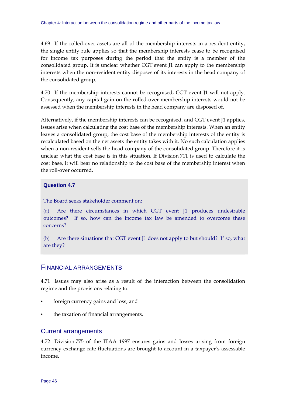4.69 If the rolled-over assets are all of the membership interests in a resident entity, the single entity rule applies so that the membership interests cease to be recognised for income tax purposes during the period that the entity is a member of the consolidated group. It is unclear whether CGT event J1 can apply to the membership interests when the non-resident entity disposes of its interests in the head company of the consolidated group.

4.70 If the membership interests cannot be recognised, CGT event J1 will not apply. Consequently, any capital gain on the rolled-over membership interests would not be assessed when the membership interests in the head company are disposed of.

Alternatively, if the membership interests can be recognised, and CGT event J1 applies, issues arise when calculating the cost base of the membership interests. When an entity leaves a consolidated group, the cost base of the membership interests of the entity is recalculated based on the net assets the entity takes with it. No such calculation applies when a non-resident sells the head company of the consolidated group. Therefore it is unclear what the cost base is in this situation. If Division 711 is used to calculate the cost base, it will bear no relationship to the cost base of the membership interest when the roll-over occurred.

### **Question 4.7**

The Board seeks stakeholder comment on:

(a) Are there circumstances in which CGT event J1 produces undesirable outcomes? If so, how can the income tax law be amended to overcome these concerns?

(b) Are there situations that CGT event J1 does not apply to but should? If so, what are they?

## FINANCIAL ARRANGEMENTS

4.71 Issues may also arise as a result of the interaction between the consolidation regime and the provisions relating to:

- foreign currency gains and loss; and
- the taxation of financial arrangements.

#### Current arrangements

4.72 Division 775 of the ITAA 1997 ensures gains and losses arising from foreign currency exchange rate fluctuations are brought to account in a taxpayer's assessable income.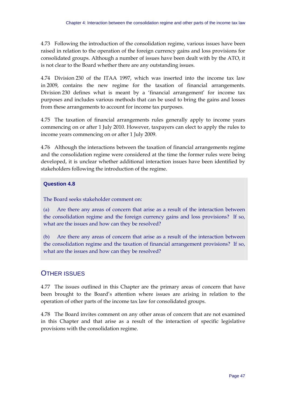4.73 Following the introduction of the consolidation regime, various issues have been raised in relation to the operation of the foreign currency gains and loss provisions for consolidated groups. Although a number of issues have been dealt with by the ATO, it is not clear to the Board whether there are any outstanding issues.

4.74 Division 230 of the ITAA 1997, which was inserted into the income tax law in 2009, contains the new regime for the taxation of financial arrangements. Division 230 defines what is meant by a 'financial arrangement' for income tax purposes and includes various methods that can be used to bring the gains and losses from these arrangements to account for income tax purposes.

4.75 The taxation of financial arrangements rules generally apply to income years commencing on or after 1 July 2010. However, taxpayers can elect to apply the rules to income years commencing on or after 1 July 2009.

4.76 Although the interactions between the taxation of financial arrangements regime and the consolidation regime were considered at the time the former rules were being developed, it is unclear whether additional interaction issues have been identified by stakeholders following the introduction of the regime.

## **Question 4.8**

The Board seeks stakeholder comment on:

(a) Are there any areas of concern that arise as a result of the interaction between the consolidation regime and the foreign currency gains and loss provisions? If so, what are the issues and how can they be resolved?

(b) Are there any areas of concern that arise as a result of the interaction between the consolidation regime and the taxation of financial arrangement provisions? If so, what are the issues and how can they be resolved?

# OTHER ISSUES

4.77 The issues outlined in this Chapter are the primary areas of concern that have been brought to the Board's attention where issues are arising in relation to the operation of other parts of the income tax law for consolidated groups.

4.78 The Board invites comment on any other areas of concern that are not examined in this Chapter and that arise as a result of the interaction of specific legislative provisions with the consolidation regime.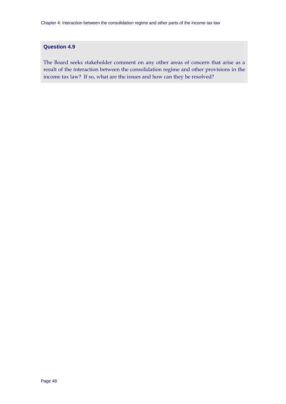## **Question 4.9**

The Board seeks stakeholder comment on any other areas of concern that arise as a result of the interaction between the consolidation regime and other provisions in the income tax law? If so, what are the issues and how can they be resolved?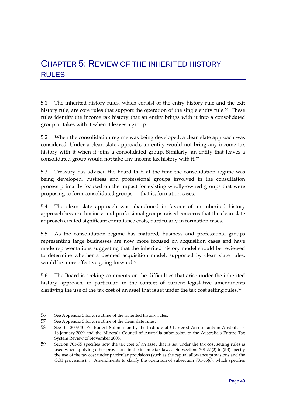# <span id="page-54-0"></span>CHAPTER 5: REVIEW OF THE INHERITED HISTORY **RULES**

5.1 The inherited history rules, which consist of the entry history rule and the exit history rule, are core rules that support the operation of the single entity rule.<sup>[56](#page-54-0)</sup> These rules identify the income tax history that an entity brings with it into a consolidated group or takes with it when it leaves a group.

5.2 When the consolidation regime was being developed, a clean slate approach was considered. Under a clean slate approach, an entity would not bring any income tax history with it when it joins a consolidated group. Similarly, an entity that leaves a consolidated group would not take any income tax history with it.<sup>[57](#page-54-0)</sup>

5.3 Treasury has advised the Board that, at the time the consolidation regime was being developed, business and professional groups involved in the consultation process primarily focused on the impact for existing wholly-owned groups that were proposing to form consolidated groups — that is, formation cases.

5.4 The clean slate approach was abandoned in favour of an inherited history approach because business and professional groups raised concerns that the clean slate approach created significant compliance costs, particularly in formation cases.

5.5 As the consolidation regime has matured, business and professional groups representing large businesses are now more focused on acquisition cases and have made representations suggesting that the inherited history model should be reviewed to determine whether a deemed acquisition model, supported by clean slate rules, would be more effective going forward.<sup>[58](#page-54-0)</sup>

5.6 The Board is seeking comments on the difficulties that arise under the inherited history approach, in particular, in the context of current legislative amendments clarifying the use of the tax cost of an asset that is set under the tax cost setting rules.<sup>[59](#page-54-0)</sup>

<u>.</u>

<sup>56</sup> See Appendix 3 for an outline of the inherited history rules.

<sup>57</sup> See Appendix 3 for an outline of the clean slate rules.

<sup>58</sup> See the 2009-10 Pre-Budget Submission by the Institute of Chartered Accountants in Australia of 16 January 2009 and the Minerals Council of Australia submission to the Australia's Future Tax System Review of November 2008.

<sup>59</sup> Section 701-55 specifies how the tax cost of an asset that is set under the tax cost setting rules is used when applying other provisions in the income tax law. . . Subsections 701-55(2) to (5B) specify the use of the tax cost under particular provisions (such as the capital allowance provisions and the CGT provisions). . . Amendments to clarify the operation of subsection 701-55(6), which specifies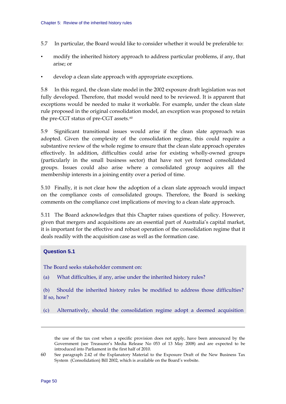- <span id="page-55-0"></span>5.7 In particular, the Board would like to consider whether it would be preferable to:
- modify the inherited history approach to address particular problems, if any, that arise; or
- develop a clean slate approach with appropriate exceptions.

5.8 In this regard, the clean slate model in the 2002 exposure draft legislation was not fully developed. Therefore, that model would need to be reviewed. It is apparent that exceptions would be needed to make it workable. For example, under the clean slate rule proposed in the original consolidation model, an exception was proposed to retain the pre-CGT status of pre-CGT assets.<sup>[60](#page-55-0)</sup>

5.9 Significant transitional issues would arise if the clean slate approach was adopted. Given the complexity of the consolidation regime, this could require a substantive review of the whole regime to ensure that the clean slate approach operates effectively. In addition, difficulties could arise for existing wholly-owned groups (particularly in the small business sector) that have not yet formed consolidated groups. Issues could also arise where a consolidated group acquires all the membership interests in a joining entity over a period of time.

5.10 Finally, it is not clear how the adoption of a clean slate approach would impact on the compliance costs of consolidated groups. Therefore, the Board is seeking comments on the compliance cost implications of moving to a clean slate approach.

5.11 The Board acknowledges that this Chapter raises questions of policy. However, given that mergers and acquisitions are an essential part of Australia's capital market, it is important for the effective and robust operation of the consolidation regime that it deals readily with the acquisition case as well as the formation case.

#### **Question 5.1**

The Board seeks stakeholder comment on:

(a) What difficulties, if any, arise under the inherited history rules?

(b) Should the inherited history rules be modified to address those difficulties? If so, how?

(c) Alternatively, should the consolidation regime adopt a deemed acquisition

<u>.</u>

the use of the tax cost when a specific provision does not apply, have been announced by the Government (see Treasurer's Media Release No 053 of 13 May 2008) and are expected to be introduced into Parliament in the first half of 2010.

<sup>60</sup> See paragraph 2.42 of the Explanatory Material to the Exposure Draft of the New Business Tax System (Consolidation) Bill 2002, which is available on the Board's website.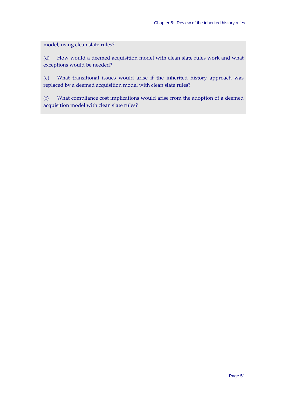model, using clean slate rules?

(d) How would a deemed acquisition model with clean slate rules work and what exceptions would be needed?

(e) What transitional issues would arise if the inherited history approach was replaced by a deemed acquisition model with clean slate rules?

(f) What compliance cost implications would arise from the adoption of a deemed acquisition model with clean slate rules?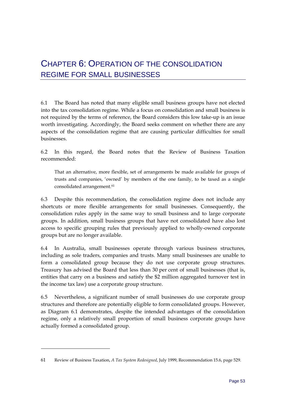# <span id="page-58-0"></span>CHAPTER 6: OPERATION OF THE CONSOLIDATION REGIME FOR SMALL BUSINESSES

6.1 The Board has noted that many eligible small business groups have not elected into the tax consolidation regime. While a focus on consolidation and small business is not required by the terms of reference, the Board considers this low take-up is an issue worth investigating. Accordingly, the Board seeks comment on whether there are any aspects of the consolidation regime that are causing particular difficulties for small businesses.

6.2 In this regard, the Board notes that the Review of Business Taxation recommended:

That an alternative, more flexible, set of arrangements be made available for groups of trusts and companies, 'owned' by members of the one family, to be taxed as a single consolidated arrangement.<sup>[61](#page-58-0)</sup>

6.3 Despite this recommendation, the consolidation regime does not include any shortcuts or more flexible arrangements for small businesses. Consequently, the consolidation rules apply in the same way to small business and to large corporate groups. In addition, small business groups that have not consolidated have also lost access to specific grouping rules that previously applied to wholly-owned corporate groups but are no longer available.

6.4 In Australia, small businesses operate through various business structures, including as sole traders, companies and trusts. Many small businesses are unable to form a consolidated group because they do not use corporate group structures. Treasury has advised the Board that less than 30 per cent of small businesses (that is, entities that carry on a business and satisfy the \$2 million aggregated turnover test in the income tax law) use a corporate group structure.

6.5 Nevertheless, a significant number of small businesses do use corporate group structures and therefore are potentially eligible to form consolidated groups. However, as Diagram 6.1 demonstrates, despite the intended advantages of the consolidation regime, only a relatively small proportion of small business corporate groups have actually formed a consolidated group.

-

<sup>61</sup> Review of Business Taxation, *A Tax System Redesigned*, July 1999, Recommendation 15.6, page 529.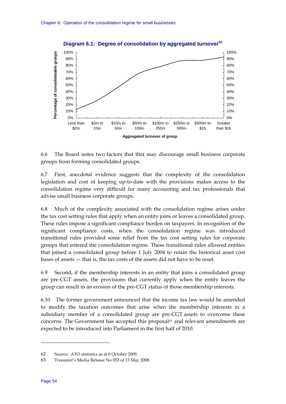<span id="page-59-0"></span>

**Diagram 6.1: Degree of consolidation by aggregated turnover[62](#page-59-0)**

6.6 The Board notes two factors that that may discourage small business corporate groups from forming consolidated groups.

6.7 First, anecdotal evidence suggests that the complexity of the consolidation legislation and cost of keeping up-to-date with the provisions makes access to the consolidation regime very difficult for many accounting and tax professionals that advise small business corporate groups.

6.8 Much of the complexity associated with the consolidation regime arises under the tax cost setting rules that apply when an entity joins or leaves a consolidated group. These rules impose a significant compliance burden on taxpayers. In recognition of the significant compliance costs, when the consolidation regime was introduced transitional rules provided some relief from the tax cost setting rules for corporate groups that entered the consolidation regime. These transitional rules allowed entities that joined a consolidated group before 1 July 2004 to retain the historical asset cost bases of assets — that is, the tax costs of the assets did not have to be reset.

6.9 Second, if the membership interests in an entity that joins a consolidated group are pre-CGT assets, the provisions that currently apply when the entity leaves the group can result in an erosion of the pre-CGT status of those membership interests.

6.10 The former government announced that the income tax law would be amended to modify the taxation outcomes that arise when the membership interests in a subsidiary member of a consolidated group are pre-CGT assets to overcome these concerns. The Government has accepted this proposal<sup>[63](#page-59-0)</sup> and relevant amendments are expected to be introduced into Parliament in the first half of 2010.

<u>.</u>

<sup>62</sup> Source: ATO statistics as at 6 October 2009.

<sup>63</sup> Treasurer's Media Release No 053 of 13 May 2008.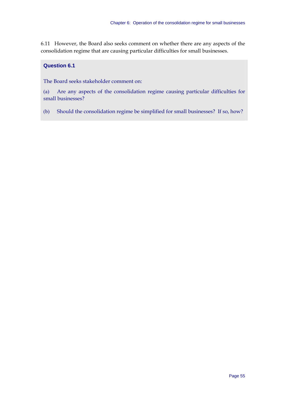6.11 However, the Board also seeks comment on whether there are any aspects of the consolidation regime that are causing particular difficulties for small businesses.

## **Question 6.1**

The Board seeks stakeholder comment on:

(a) Are any aspects of the consolidation regime causing particular difficulties for small businesses?

(b) Should the consolidation regime be simplified for small businesses? If so, how?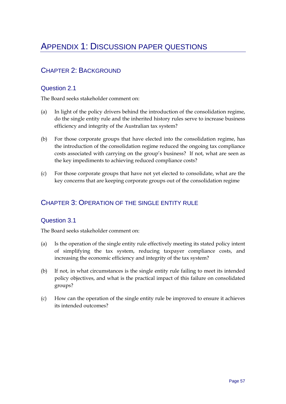# APPENDIX 1: DISCUSSION PAPER QUESTIONS

# CHAPTER 2: BACKGROUND

# Question 2.1

The Board seeks stakeholder comment on:

- (a) In light of the policy drivers behind the introduction of the consolidation regime, do the single entity rule and the inherited history rules serve to increase business efficiency and integrity of the Australian tax system?
- (b) For those corporate groups that have elected into the consolidation regime, has the introduction of the consolidation regime reduced the ongoing tax compliance costs associated with carrying on the group's business? If not, what are seen as the key impediments to achieving reduced compliance costs?
- (c) For those corporate groups that have not yet elected to consolidate, what are the key concerns that are keeping corporate groups out of the consolidation regime

# CHAPTER 3: OPERATION OF THE SINGLE ENTITY RULE

## Question 3.1

- (a) Is the operation of the single entity rule effectively meeting its stated policy intent of simplifying the tax system, reducing taxpayer compliance costs, and increasing the economic efficiency and integrity of the tax system?
- (b) If not, in what circumstances is the single entity rule failing to meet its intended policy objectives, and what is the practical impact of this failure on consolidated groups?
- (c) How can the operation of the single entity rule be improved to ensure it achieves its intended outcomes?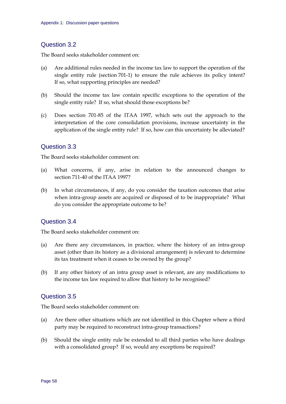## Question 3.2

The Board seeks stakeholder comment on:

- (a) Are additional rules needed in the income tax law to support the operation of the single entity rule (section 701-1) to ensure the rule achieves its policy intent? If so, what supporting principles are needed?
- (b) Should the income tax law contain specific exceptions to the operation of the single entity rule? If so, what should those exceptions be?
- (c) Does section 701-85 of the ITAA 1997, which sets out the approach to the interpretation of the core consolidation provisions, increase uncertainty in the application of the single entity rule? If so, how can this uncertainty be alleviated?

## Question 3.3

The Board seeks stakeholder comment on:

- (a) What concerns, if any, arise in relation to the announced changes to section 711-40 of the ITAA 1997?
- (b) In what circumstances, if any, do you consider the taxation outcomes that arise when intra-group assets are acquired or disposed of to be inappropriate? What do you consider the appropriate outcome to be?

## Question 3.4

The Board seeks stakeholder comment on:

- (a) Are there any circumstances, in practice, where the history of an intra-group asset (other than its history as a divisional arrangement) is relevant to determine its tax treatment when it ceases to be owned by the group?
- (b) If any other history of an intra group asset is relevant, are any modifications to the income tax law required to allow that history to be recognised?

## Question 3.5

- (a) Are there other situations which are not identified in this Chapter where a third party may be required to reconstruct intra-group transactions?
- (b) Should the single entity rule be extended to all third parties who have dealings with a consolidated group? If so, would any exceptions be required?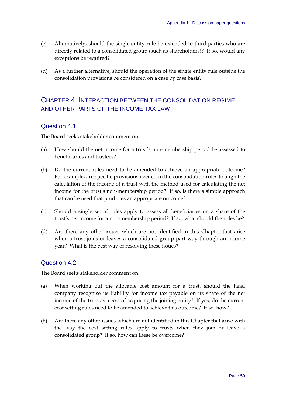- (c) Alternatively, should the single entity rule be extended to third parties who are directly related to a consolidated group (such as shareholders)? If so, would any exceptions be required?
- (d) As a further alternative, should the operation of the single entity rule outside the consolidation provisions be considered on a case by case basis?

# CHAPTER 4: INTERACTION BETWEEN THE CONSOLIDATION REGIME AND OTHER PARTS OF THE INCOME TAX LAW

## Question 4.1

The Board seeks stakeholder comment on:

- (a) How should the net income for a trust's non-membership period be assessed to beneficiaries and trustees?
- (b) Do the current rules need to be amended to achieve an appropriate outcome? For example, are specific provisions needed in the consolidation rules to align the calculation of the income of a trust with the method used for calculating the net income for the trust's non-membership period? If so, is there a simple approach that can be used that produces an appropriate outcome?
- (c) Should a single set of rules apply to assess all beneficiaries on a share of the trust's net income for a non-membership period? If so, what should the rules be?
- (d) Are there any other issues which are not identified in this Chapter that arise when a trust joins or leaves a consolidated group part way through an income year? What is the best way of resolving these issues?

## Question 4.2

- (a) When working out the allocable cost amount for a trust, should the head company recognise its liability for income tax payable on its share of the net income of the trust as a cost of acquiring the joining entity? If yes, do the current cost setting rules need to be amended to achieve this outcome? If so, how?
- (b) Are there any other issues which are not identified in this Chapter that arise with the way the cost setting rules apply to trusts when they join or leave a consolidated group? If so, how can these be overcome?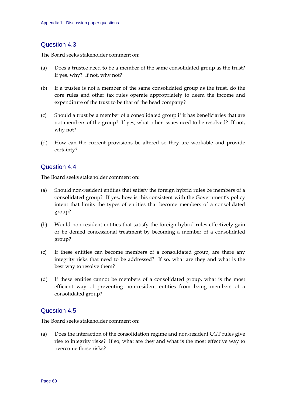## Question 4.3

The Board seeks stakeholder comment on:

- (a) Does a trustee need to be a member of the same consolidated group as the trust? If yes, why? If not, why not?
- (b) If a trustee is not a member of the same consolidated group as the trust, do the core rules and other tax rules operate appropriately to deem the income and expenditure of the trust to be that of the head company?
- (c) Should a trust be a member of a consolidated group if it has beneficiaries that are not members of the group? If yes, what other issues need to be resolved? If not, why not?
- (d) How can the current provisions be altered so they are workable and provide certainty?

## Question 4.4

The Board seeks stakeholder comment on:

- (a) Should non-resident entities that satisfy the foreign hybrid rules be members of a consolidated group? If yes, how is this consistent with the Government's policy intent that limits the types of entities that become members of a consolidated group?
- (b) Would non-resident entities that satisfy the foreign hybrid rules effectively gain or be denied concessional treatment by becoming a member of a consolidated group?
- (c) If these entities can become members of a consolidated group, are there any integrity risks that need to be addressed? If so, what are they and what is the best way to resolve them?
- (d) If these entities cannot be members of a consolidated group, what is the most efficient way of preventing non-resident entities from being members of a consolidated group?

## Question 4.5

The Board seeks stakeholder comment on:

(a) Does the interaction of the consolidation regime and non-resident CGT rules give rise to integrity risks? If so, what are they and what is the most effective way to overcome those risks?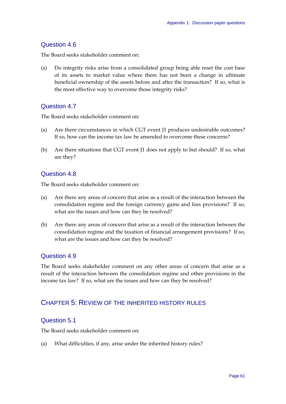## Question 4.6

The Board seeks stakeholder comment on:

(a) Do integrity risks arise from a consolidated group being able reset the cost base of its assets to market value where there has not been a change in ultimate beneficial ownership of the assets before and after the transaction? If so, what is the most effective way to overcome those integrity risks?

## Question 4.7

The Board seeks stakeholder comment on:

- (a) Are there circumstances in which CGT event J1 produces undesirable outcomes? If so, how can the income tax law be amended to overcome these concerns?
- (b) Are there situations that CGT event J1 does not apply to but should? If so, what are they?

## Question 4.8

The Board seeks stakeholder comment on:

- (a) Are there any areas of concern that arise as a result of the interaction between the consolidation regime and the foreign currency gains and loss provisions? If so, what are the issues and how can they be resolved?
- (b) Are there any areas of concern that arise as a result of the interaction between the consolidation regime and the taxation of financial arrangement provisions? If so, what are the issues and how can they be resolved?

## Question 4.9

The Board seeks stakeholder comment on any other areas of concern that arise as a result of the interaction between the consolidation regime and other provisions in the income tax law? If so, what are the issues and how can they be resolved?

# CHAPTER 5: REVIEW OF THE INHERITED HISTORY RULES

## Question 5.1

The Board seeks stakeholder comment on:

(a) What difficulties, if any, arise under the inherited history rules?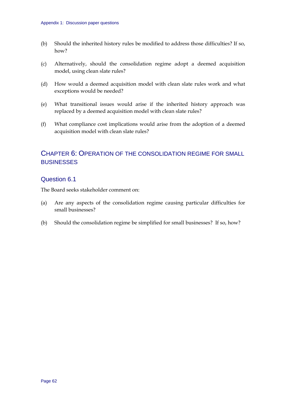- (b) Should the inherited history rules be modified to address those difficulties? If so, how?
- (c) Alternatively, should the consolidation regime adopt a deemed acquisition model, using clean slate rules?
- (d) How would a deemed acquisition model with clean slate rules work and what exceptions would be needed?
- (e) What transitional issues would arise if the inherited history approach was replaced by a deemed acquisition model with clean slate rules?
- (f) What compliance cost implications would arise from the adoption of a deemed acquisition model with clean slate rules?

# CHAPTER 6: OPERATION OF THE CONSOLIDATION REGIME FOR SMALL **BUSINESSES**

## Question 6.1

- (a) Are any aspects of the consolidation regime causing particular difficulties for small businesses?
- (b) Should the consolidation regime be simplified for small businesses? If so, how?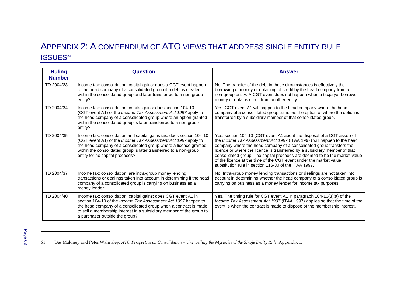# APPENDIX 2: A COMPENDIUM OF ATO VIEWS THAT ADDRESS SINGLE ENTITY RULE ISSUES<sup>[64](#page-68-0)</sup>

| <b>Ruling</b><br><b>Number</b> | <b>Question</b>                                                                                                                                                                                                                                                                                                   | <b>Answer</b>                                                                                                                                                                                                                                                                                                                                                                                                                                                                                                        |
|--------------------------------|-------------------------------------------------------------------------------------------------------------------------------------------------------------------------------------------------------------------------------------------------------------------------------------------------------------------|----------------------------------------------------------------------------------------------------------------------------------------------------------------------------------------------------------------------------------------------------------------------------------------------------------------------------------------------------------------------------------------------------------------------------------------------------------------------------------------------------------------------|
| TD 2004/33                     | Income tax: consolidation: capital gains: does a CGT event happen<br>to the head company of a consolidated group if a debt is created<br>within the consolidated group and later transferred to a non-group<br>entity?                                                                                            | No. The transfer of the debt in these circumstances is effectively the<br>borrowing of money or obtaining of credit by the head company from a<br>non-group entity. A CGT event does not happen when a taxpayer borrows<br>money or obtains credit from another entity.                                                                                                                                                                                                                                              |
| TD 2004/34                     | Income tax: consolidation: capital gains: does section 104-10<br>(CGT event A1) of the Income Tax Assessment Act 1997 apply to<br>the head company of a consolidated group where an option granted<br>within the consolidated group is later transferred to a non-group<br>entity?                                | Yes. CGT event A1 will happen to the head company where the head<br>company of a consolidated group transfers the option or where the option is<br>transferred by a subsidiary member of that consolidated group.                                                                                                                                                                                                                                                                                                    |
| TD 2004/35                     | Income tax: consolidation and capital gains tax: does section 104-10<br>(CGT event A1) of the Income Tax Assessment Act 1997 apply to<br>the head company of a consolidated group where a licence granted<br>within the consolidated group is later transferred to a non-group<br>entity for no capital proceeds? | Yes, section 104-10 (CGT event A1 about the disposal of a CGT asset) of<br>the Income Tax Assessment Act 1997 (ITAA 1997) will happen to the head<br>company where the head company of a consolidated group transfers the<br>licence or where the licence is transferred by a subsidiary member of that<br>consolidated group. The capital proceeds are deemed to be the market value<br>of the licence at the time of the CGT event under the market value<br>substitution rule in section 116-30 of the ITAA 1997. |
| TD 2004/37                     | Income tax: consolidation: are intra-group money lending<br>transactions or dealings taken into account in determining if the head<br>company of a consolidated group is carrying on business as a<br>money lender?                                                                                               | No. Intra-group money lending transactions or dealings are not taken into<br>account in determining whether the head company of a consolidated group is<br>carrying on business as a money lender for income tax purposes.                                                                                                                                                                                                                                                                                           |
| TD 2004/40                     | Income tax: consolidation: capital gains: does CGT event A1 in<br>section 104-10 of the Income Tax Assessment Act 1997 happen to<br>the head company of a consolidated group when a contract is made<br>to sell a membership interest in a subsidiary member of the group to<br>a purchaser outside the group?    | Yes. The timing rule for CGT event A1 in paragraph 104-10(3)(a) of the<br>Income Tax Assessment Act 1997 (ITAA 1997) applies so that the time of the<br>event is when the contract is made to dispose of the membership interest.                                                                                                                                                                                                                                                                                    |

<span id="page-68-0"></span>Pa<br>06<br>83664 Des Maloney and Peter Walmsley, *ATO Perspective on Consolidation – Unravelling the Mysteries of the Single Entity Rule, Appendix 1.*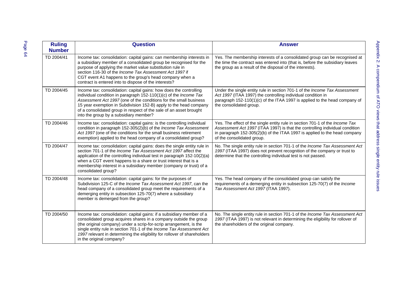| <b>Ruling</b><br><b>Number</b> | <b>Question</b>                                                                                                                                                                                                                                                                                                                                                                                   | <b>Answer</b>                                                                                                                                                                                                                                                            |
|--------------------------------|---------------------------------------------------------------------------------------------------------------------------------------------------------------------------------------------------------------------------------------------------------------------------------------------------------------------------------------------------------------------------------------------------|--------------------------------------------------------------------------------------------------------------------------------------------------------------------------------------------------------------------------------------------------------------------------|
| TD 2004/41                     | Income tax: consolidation: capital gains: can membership interests in<br>a subsidiary member of a consolidated group be recognised for the<br>purpose of applying the market value substitution rule in<br>section 116-30 of the Income Tax Assessment Act 1997 if<br>CGT event A1 happens to the group's head company when a<br>contract is entered into to dispose of the interests?            | Yes. The membership interests of a consolidated group can be recognised at<br>the time the contract was entered into (that is, before the subsidiary leaves<br>the group as a result of the disposal of the interests).                                                  |
| TD 2004/45                     | Income tax: consolidation: capital gains: how does the controlling<br>individual condition in paragraph 152-110(1)(c) of the Income Tax<br>Assessment Act 1997 (one of the conditions for the small business<br>15 year exemption in Subdivision 152-B) apply to the head company<br>of a consolidated group in respect of the sale of an asset brought<br>into the group by a subsidiary member? | Under the single entity rule in section 701-1 of the Income Tax Assessment<br>Act 1997 (ITAA 1997) the controlling individual condition in<br>paragraph 152-110(1)(c) of the ITAA 1997 is applied to the head company of<br>the consolidated group.                      |
| TD 2004/46                     | Income tax: consolidation: capital gains: is the controlling individual<br>condition in paragraph 152-305(2)(b) of the Income Tax Assessment<br>Act 1997 (one of the conditions for the small business retirement<br>exemption) applied to the head company of a consolidated group?                                                                                                              | Yes. The effect of the single entity rule in section 701-1 of the Income Tax<br>Assessment Act 1997 (ITAA 1997) is that the controlling individual condition<br>in paragraph 152-305(2)(b) of the ITAA 1997 is applied to the head company<br>of the consolidated group. |
| TD 2004/47                     | Income tax: consolidation: capital gains: does the single entity rule in<br>section 701-1 of the Income Tax Assessment Act 1997 affect the<br>application of the controlling individual test in paragraph 152-10(2)(a)<br>when a CGT event happens to a share or trust interest that is a<br>membership interest in a subsidiary member (company or trust) of a<br>consolidated group?            | No. The single entity rule in section 701-1 of the Income Tax Assessment Act<br>1997 (ITAA 1997) does not prevent recognition of the company or trust to<br>determine that the controlling individual test is not passed.                                                |
| TD 2004/48                     | Income tax: consolidation: capital gains: for the purposes of<br>Subdivision 125-C of the Income Tax Assessment Act 1997, can the<br>head company of a consolidated group meet the requirements of a<br>demerging entity in subsection 125-70(7) where a subsidiary<br>member is demerged from the group?                                                                                         | Yes. The head company of the consolidated group can satisfy the<br>requirements of a demerging entity in subsection 125-70(7) of the Income<br>Tax Assessment Act 1997 (ITAA 1997).                                                                                      |
| TD 2004/50                     | Income tax: consolidation: capital gains: if a subsidiary member of a<br>consolidated group acquires shares in a company outside the group<br>(the original company) under a scrip-for-scrip arrangement, is the<br>single entity rule in section 701-1 of the Income Tax Assessment Act<br>1997 relevant in determining the eligibility for rollover of shareholders<br>in the original company? | No. The single entity rule in section 701-1 of the Income Tax Assessment Act<br>1997 (ITAA 1997) is not relevant in determining the eligibility for rollover of<br>the shareholders of the original company.                                                             |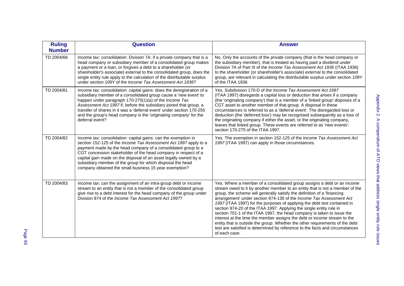| <b>Ruling</b><br><b>Number</b> | <b>Question</b>                                                                                                                                                                                                                                                                                                                                                                                                                                                   | <b>Answer</b>                                                                                                                                                                                                                                                                                                                                                                                                                                                                                                                                                                                                                                                                                                                                                                                       |
|--------------------------------|-------------------------------------------------------------------------------------------------------------------------------------------------------------------------------------------------------------------------------------------------------------------------------------------------------------------------------------------------------------------------------------------------------------------------------------------------------------------|-----------------------------------------------------------------------------------------------------------------------------------------------------------------------------------------------------------------------------------------------------------------------------------------------------------------------------------------------------------------------------------------------------------------------------------------------------------------------------------------------------------------------------------------------------------------------------------------------------------------------------------------------------------------------------------------------------------------------------------------------------------------------------------------------------|
| TD 2004/68                     | Income tax: consolidation: Division 7A: if a private company that is a<br>head company or subsidiary member of a consolidated group makes<br>a payment or a loan, or forgives a debt to a shareholder (or<br>shareholder's associate) external to the consolidated group, does the<br>single entity rule apply to the calculation of the distributable surplus<br>under section 109Y of the <i>Income Tax Assessment Act 1936</i> ?                               | No. Only the accounts of the private company (that is the head company or<br>the subsidiary member), that is treated as having paid a dividend under<br>Division 7A of Part III of the Income Tax Assessment Act 1936 (ITAA 1936)<br>to the shareholder (or shareholder's associate) external to the consolidated<br>group, are relevant in calculating the distributable surplus under section 109Y<br>of the ITAA 1936.                                                                                                                                                                                                                                                                                                                                                                           |
| TD 2004/81                     | Income tax: consolidation: capital gains: does the deregistration of a<br>subsidiary member of a consolidated group cause a 'new event' to<br>happen under paragraph 170-275(1)(a) of the Income Tax<br>Assessment Act 1997 if, before the subsidiary joined that group, a<br>transfer of shares in it was a 'deferral event' under section 170-255<br>and the group's head company is the 'originating company' for the<br>deferral event?                       | Yes. Subdivision 170-D of the Income Tax Assessment Act 1997<br>(ITAA 1997) disregards a capital loss or deduction that arises if a company<br>(the 'originating company') that is a member of a 'linked group' disposes of a<br>CGT asset to another member of that group. A disposal in these<br>circumstances is referred to as a 'deferral event'. The disregarded loss or<br>deduction (the 'deferred loss') may be recognised subsequently as a loss of<br>the originating company if either the asset, or the originating company,<br>leaves that linked group. These events are referred to as 'new events':<br>section 170-275 of the ITAA 1997.                                                                                                                                           |
| TD 2004/82                     | Income tax: consolidation: capital gains: can the exemption in<br>section 152-125 of the Income Tax Assessment Act 1997 apply to a<br>payment made by the head company of a consolidated group to a<br>CGT concession stakeholder of the head company in respect of a<br>capital gain made on the disposal of an asset legally owned by a<br>subsidiary member of the group for which disposal the head<br>company obtained the small business 15 year exemption? | Yes. The exemption in section 152-125 of the Income Tax Assessment Act<br>1997 (ITAA 1997) can apply in those circumstances.                                                                                                                                                                                                                                                                                                                                                                                                                                                                                                                                                                                                                                                                        |
| TD 2004/83                     | Income tax: can the assignment of an intra-group debt or income<br>stream to an entity that is not a member of the consolidated group<br>give rise to a debt interest for the head company of the group under<br>Division 974 of the Income Tax Assessment Act 1997?                                                                                                                                                                                              | Yes. Where a member of a consolidated group assigns a debt or an income<br>stream owed to it by another member to an entity that is not a member of the<br>group, the scheme will generally satisfy the definition of a 'financing<br>arrangement' under section 974-130 of the Income Tax Assessment Act<br>1997 (ITAA 1997) for the purposes of applying the debt test contained in<br>section 974-20 of the ITAA 1997. Applying the single entity rule in<br>section 701-1 of the ITAA 1997, the head company is taken to issue the<br>interest at the time the member assigns the debt or income stream to the<br>entity that is outside the group. Whether the other requirements of the debt<br>test are satisfied is determined by reference to the facts and circumstances<br>of each case. |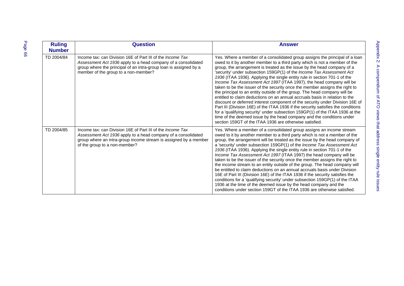| Page 66 | <b>Ruling</b><br><b>Number</b> | <b>Question</b>                                                                                                                                                                                                                                 | <b>Answer</b>                                                                                                                                                                                                                                                                                                                                                                                                                                                                                                                                                                                                                                                                                                                                                                                                                                                                                                                                                                                                                                                                                            |
|---------|--------------------------------|-------------------------------------------------------------------------------------------------------------------------------------------------------------------------------------------------------------------------------------------------|----------------------------------------------------------------------------------------------------------------------------------------------------------------------------------------------------------------------------------------------------------------------------------------------------------------------------------------------------------------------------------------------------------------------------------------------------------------------------------------------------------------------------------------------------------------------------------------------------------------------------------------------------------------------------------------------------------------------------------------------------------------------------------------------------------------------------------------------------------------------------------------------------------------------------------------------------------------------------------------------------------------------------------------------------------------------------------------------------------|
|         | TD 2004/84                     | Income tax: can Division 16E of Part III of the <i>Income Tax</i><br>Assessment Act 1936 apply to a head company of a consolidated<br>group where the principal of an intra-group loan is assigned by a<br>member of the group to a non-member? | Yes. Where a member of a consolidated group assigns the principal of a loan<br>owed to it by another member to a third party which is not a member of the<br>group, the arrangement is treated as the issue by the head company of a<br>'security' under subsection 159GP(1) of the Income Tax Assessment Act<br>1936 (ITAA 1936). Applying the single entity rule in section 701-1 of the<br>Income Tax Assessment Act 1997 (ITAA 1997), the head company will be<br>taken to be the issuer of the security once the member assigns the right to<br>the principal to an entity outside of the group. The head company will be<br>entitled to claim deductions on an annual accruals basis in relation to the<br>discount or deferred interest component of the security under Division 16E of<br>Part III (Division 16E) of the ITAA 1936 if the security satisfies the conditions<br>for a 'qualifying security' under subsection 159GP(1) of the ITAA 1936 at the<br>time of the deemed issue by the head company and the conditions under<br>section 159GT of the ITAA 1936 are otherwise satisfied. |
|         | TD 2004/85                     | Income tax: can Division 16E of Part III of the <i>Income Tax</i><br>Assessment Act 1936 apply to a head company of a consolidated<br>group where an intra-group income stream is assigned by a member<br>of the group to a non-member?         | Yes. Where a member of a consolidated group assigns an income stream<br>owed to it by another member to a third party which is not a member of the<br>group, the arrangement will be treated as the issue by the head company of<br>a 'security' under subsection 159GP(1) of the Income Tax Assessment Act<br>1936 (ITAA 1936). Applying the single entity rule in section 701-1 of the<br>Income Tax Assessment Act 1997 (ITAA 1997) the head company will be<br>taken to be the issuer of the security once the member assigns the right to<br>the income stream to an entity outside of the group. The head company will<br>be entitled to claim deductions on an annual accruals basis under Division<br>16E of Part III (Division 16E) of the ITAA 1936 if the security satisfies the<br>conditions for a 'qualifying security' under subsection 159GP(1) of the ITAA<br>1936 at the time of the deemed issue by the head company and the<br>conditions under section 159GT of the ITAA 1936 are otherwise satisfied.                                                                              |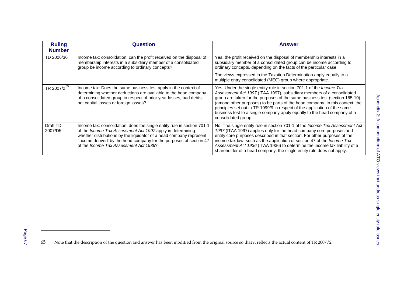| <b>Ruling</b><br><b>Number</b> | Question                                                                                                                                                                                                                                                                                                                              | <b>Answer</b>                                                                                                                                                                                                                                                                                                                                                                                                                                                                                       |
|--------------------------------|---------------------------------------------------------------------------------------------------------------------------------------------------------------------------------------------------------------------------------------------------------------------------------------------------------------------------------------|-----------------------------------------------------------------------------------------------------------------------------------------------------------------------------------------------------------------------------------------------------------------------------------------------------------------------------------------------------------------------------------------------------------------------------------------------------------------------------------------------------|
| TD 2006/36                     | Income tax: consolidation: can the profit received on the disposal of<br>membership interests in a subsidiary member of a consolidated<br>group be income according to ordinary concepts?                                                                                                                                             | Yes, the profit received on the disposal of membership interests in a<br>subsidiary member of a consolidated group can be income according to<br>ordinary concepts, depending on the facts of the particular case.                                                                                                                                                                                                                                                                                  |
|                                |                                                                                                                                                                                                                                                                                                                                       | The views expressed in the Taxation Determination apply equally to a<br>multiple entry consolidated (MEC) group where appropriate.                                                                                                                                                                                                                                                                                                                                                                  |
| TR 2007/2 <sup>65</sup>        | Income tax: Does the same business test apply in the context of<br>determining whether deductions are available to the head company<br>of a consolidated group in respect of prior year losses, bad debts,<br>net capital losses or foreign losses?                                                                                   | Yes. Under the single entity rule in section 701-1 of the <i>Income Tax</i><br>Assessment Act 1997 (ITAA 1997), subsidiary members of a consolidated<br>group are taken for the purposes of the same business test (section 165-10)<br>(among other purposes) to be parts of the head company. In this context, the<br>principles set out in TR 1999/9 in respect of the application of the same<br>business test to a single company apply equally to the head company of a<br>consolidated group. |
| Draft TD<br>2007/D5            | Income tax: consolidation: does the single entity rule in section 701-1<br>of the Income Tax Assessment Act 1997 apply in determining<br>whether distributions by the liquidator of a head company represent<br>'income derived' by the head company for the purposes of section 47<br>of the <i>Income Tax Assessment Act 1936</i> ? | No. The single entity rule in section 701-1 of the <i>Income Tax Assessment Act</i><br>1997 (ITAA 1997) applies only for the head company core purposes and<br>entity core purposes described in that section. For other purposes of the<br>income tax law, such as the application of section 47 of the Income Tax<br>Assessment Act 1936 (ITAA 1936) to determine the income tax liability of a<br>shareholder of a head company, the single entity rule does not apply.                          |

<span id="page-72-0"></span>65 Note that the description of the question and answer has been modified from the original source so that it reflects the actual content of TR 2007/2.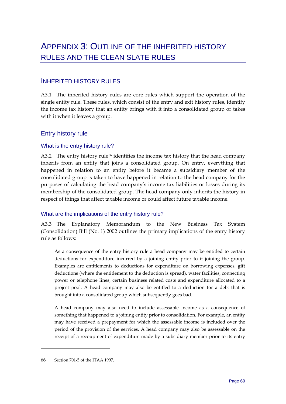# <span id="page-74-0"></span>INHERITED HISTORY RULES

A3.1 The inherited history rules are core rules which support the operation of the single entity rule. These rules, which consist of the entry and exit history rules, identify the income tax history that an entity brings with it into a consolidated group or takes with it when it leaves a group.

## Entry history rule

### What is the entry history rule?

A3.2 The entry history rule<sup>[66](#page-74-0)</sup> identifies the income tax history that the head company inherits from an entity that joins a consolidated group. On entry, everything that happened in relation to an entity before it became a subsidiary member of the consolidated group is taken to have happened in relation to the head company for the purposes of calculating the head company's income tax liabilities or losses during its membership of the consolidated group. The head company only inherits the history in respect of things that affect taxable income or could affect future taxable income.

### What are the implications of the entry history rule?

A3.3 The Explanatory Memorandum to the New Business Tax System (Consolidation) Bill (No. 1) 2002 outlines the primary implications of the entry history rule as follows:

As a consequence of the entry history rule a head company may be entitled to certain deductions for expenditure incurred by a joining entity prior to it joining the group. Examples are entitlements to deductions for expenditure on borrowing expenses, gift deductions (where the entitlement to the deduction is spread), water facilities, connecting power or telephone lines, certain business related costs and expenditure allocated to a project pool. A head company may also be entitled to a deduction for a debt that is brought into a consolidated group which subsequently goes bad.

A head company may also need to include assessable income as a consequence of something that happened to a joining entity prior to consolidation. For example, an entity may have received a prepayment for which the assessable income is included over the period of the provision of the services. A head company may also be assessable on the receipt of a recoupment of expenditure made by a subsidiary member prior to its entry

-

<sup>66</sup> Section 701-5 of the ITAA 1997.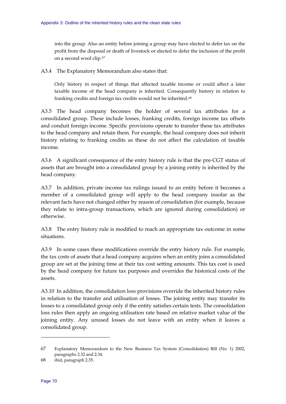<span id="page-75-0"></span>into the group. Also an entity before joining a group may have elected to defer tax on the profit from the disposal or death of livestock or elected to defer the inclusion of the profit on a second wool clip.[67](#page-75-0)

A3.4 The Explanatory Memorandum also states that:

Only history in respect of things that affected taxable income or could affect a later taxable income of the head company is inherited. Consequently history in relation to franking credits and foreign tax credits would not be inherited.<sup>[68](#page-75-0)</sup>

A3.5 The head company becomes the holder of several tax attributes for a consolidated group. These include losses, franking credits, foreign income tax offsets and conduit foreign income. Specific provisions operate to transfer these tax attributes to the head company and retain them. For example, the head company does not inherit history relating to franking credits as these do not affect the calculation of taxable income.

A3.6 A significant consequence of the entry history rule is that the pre-CGT status of assets that are brought into a consolidated group by a joining entity is inherited by the head company.

A3.7 In addition, private income tax rulings issued to an entity before it becomes a member of a consolidated group will apply to the head company insofar as the relevant facts have not changed either by reason of consolidation (for example, because they relate to intra-group transactions, which are ignored during consolidation) or otherwise.

A3.8 The entry history rule is modified to reach an appropriate tax outcome in some situations.

A3.9 In some cases these modifications override the entry history rule. For example, the tax costs of assets that a head company acquires when an entity joins a consolidated group are set at the joining time at their tax cost setting amounts. This tax cost is used by the head company for future tax purposes and overrides the historical costs of the assets.

A3.10 In addition, the consolidation loss provisions override the inherited history rules in relation to the transfer and utilisation of losses. The joining entity may transfer its losses to a consolidated group only if the entity satisfies certain tests. The consolidation loss rules then apply an ongoing utilisation rate based on relative market value of the joining entity. Any unused losses do not leave with an entity when it leaves a consolidated group.

<u>.</u>

<sup>67</sup> Explanatory Memorandum to the New Business Tax System (Consolidation) Bill (No. 1) 2002, paragraphs 2.32 and 2.34.

<sup>68</sup> ibid, paragraph 2.35.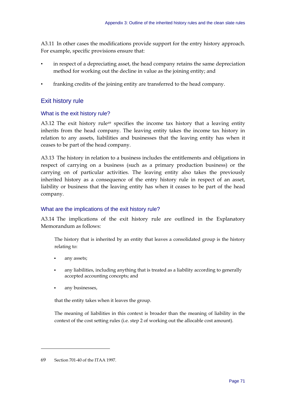<span id="page-76-0"></span>A3.11 In other cases the modifications provide support for the entry history approach. For example, specific provisions ensure that:

- in respect of a depreciating asset, the head company retains the same depreciation method for working out the decline in value as the joining entity; and
- franking credits of the joining entity are transferred to the head company.

# Exit history rule

### What is the exit history rule?

A3.12 The exit history rule<sup>[69](#page-76-0)</sup> specifies the income tax history that a leaving entity inherits from the head company. The leaving entity takes the income tax history in relation to any assets, liabilities and businesses that the leaving entity has when it ceases to be part of the head company.

A3.13 The history in relation to a business includes the entitlements and obligations in respect of carrying on a business (such as a primary production business) or the carrying on of particular activities. The leaving entity also takes the previously inherited history as a consequence of the entry history rule in respect of an asset, liability or business that the leaving entity has when it ceases to be part of the head company.

### What are the implications of the exit history rule?

A3.14 The implications of the exit history rule are outlined in the Explanatory Memorandum as follows:

The history that is inherited by an entity that leaves a consolidated group is the history relating to:

- any assets;
- any liabilities, including anything that is treated as a liability according to generally accepted accounting concepts; and
- any businesses,

that the entity takes when it leaves the group.

The meaning of liabilities in this context is broader than the meaning of liability in the context of the cost setting rules (i.e. step 2 of working out the allocable cost amount).

-

<sup>69</sup> Section 701-40 of the ITAA 1997.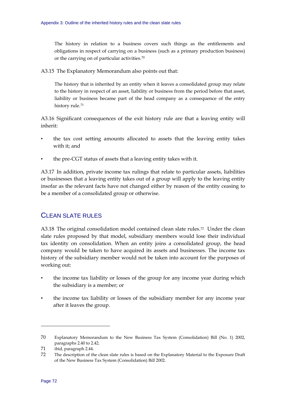<span id="page-77-0"></span>The history in relation to a business covers such things as the entitlements and obligations in respect of carrying on a business (such as a primary production business) or the carrying on of particular activities.[70](#page-77-0)

A3.15 The Explanatory Memorandum also points out that:

The history that is inherited by an entity when it leaves a consolidated group may relate to the history in respect of an asset, liability or business from the period before that asset, liability or business became part of the head company as a consequence of the entry history rule.<sup>[71](#page-77-0)</sup>

A3.16 Significant consequences of the exit history rule are that a leaving entity will inherit:

- the tax cost setting amounts allocated to assets that the leaving entity takes with it; and
- the pre-CGT status of assets that a leaving entity takes with it.

A3.17 In addition, private income tax rulings that relate to particular assets, liabilities or businesses that a leaving entity takes out of a group will apply to the leaving entity insofar as the relevant facts have not changed either by reason of the entity ceasing to be a member of a consolidated group or otherwise.

# CLEAN SLATE RULES

A3.18 The original consolidation model contained clean slate rules.<sup>[72](#page-77-0)</sup> Under the clean slate rules proposed by that model, subsidiary members would lose their individual tax identity on consolidation. When an entity joins a consolidated group, the head company would be taken to have acquired its assets and businesses. The income tax history of the subsidiary member would not be taken into account for the purposes of working out:

- the income tax liability or losses of the group for any income year during which the subsidiary is a member; or
- the income tax liability or losses of the subsidiary member for any income year after it leaves the group.

-

<sup>70</sup> Explanatory Memorandum to the New Business Tax System (Consolidation) Bill (No. 1) 2002, paragraphs 2.40 to 2.42.

<sup>71</sup> ibid, paragraph 2.44.

<sup>72</sup> The description of the clean slate rules is based on the Explanatory Material to the Exposure Draft of the New Business Tax System (Consolidation) Bill 2002.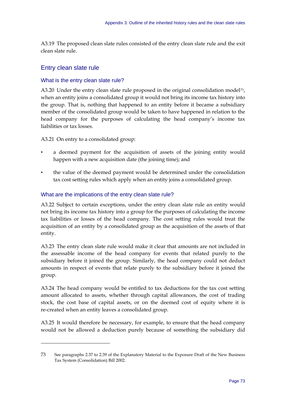<span id="page-78-0"></span>A3.19 The proposed clean slate rules consisted of the entry clean slate rule and the exit clean slate rule.

# Entry clean slate rule

-

## What is the entry clean slate rule?

A3.20 Under the entry clean slate rule proposed in the original consolidation model<sup>[73](#page-78-0)</sup>, when an entity joins a consolidated group it would not bring its income tax history into the group. That is, nothing that happened to an entity before it became a subsidiary member of the consolidated group would be taken to have happened in relation to the head company for the purposes of calculating the head company's income tax liabilities or tax losses.

A3.21 On entry to a consolidated group:

- a deemed payment for the acquisition of assets of the joining entity would happen with a new acquisition date (the joining time); and
- the value of the deemed payment would be determined under the consolidation tax cost setting rules which apply when an entity joins a consolidated group.

## What are the implications of the entry clean slate rule?

A3.22 Subject to certain exceptions, under the entry clean slate rule an entity would not bring its income tax history into a group for the purposes of calculating the income tax liabilities or losses of the head company. The cost setting rules would treat the acquisition of an entity by a consolidated group as the acquisition of the assets of that entity.

A3.23 The entry clean slate rule would make it clear that amounts are not included in the assessable income of the head company for events that related purely to the subsidiary before it joined the group. Similarly, the head company could not deduct amounts in respect of events that relate purely to the subsidiary before it joined the group.

A3.24 The head company would be entitled to tax deductions for the tax cost setting amount allocated to assets, whether through capital allowances, the cost of trading stock, the cost base of capital assets, or on the deemed cost of equity where it is re-created when an entity leaves a consolidated group.

A3.25 It would therefore be necessary, for example, to ensure that the head company would not be allowed a deduction purely because of something the subsidiary did

<sup>73</sup> See paragraphs 2.37 to 2.39 of the Explanatory Material to the Exposure Draft of the New Business Tax System (Consolidation) Bill 2002.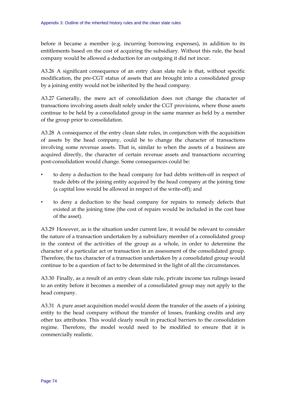before it became a member (e.g. incurring borrowing expenses), in addition to its entitlements based on the cost of acquiring the subsidiary. Without this rule, the head company would be allowed a deduction for an outgoing it did not incur.

A3.26 A significant consequence of an entry clean slate rule is that, without specific modification, the pre-CGT status of assets that are brought into a consolidated group by a joining entity would not be inherited by the head company.

A3.27 Generally, the mere act of consolidation does not change the character of transactions involving assets dealt solely under the CGT provisions, where those assets continue to be held by a consolidated group in the same manner as held by a member of the group prior to consolidation.

A3.28 A consequence of the entry clean slate rules, in conjunction with the acquisition of assets by the head company, could be to change the character of transactions involving some revenue assets. That is, similar to when the assets of a business are acquired directly, the character of certain revenue assets and transactions occurring post-consolidation would change. Some consequences could be:

- to deny a deduction to the head company for bad debts written-off in respect of trade debts of the joining entity acquired by the head company at the joining time (a capital loss would be allowed in respect of the write-off); and
- to deny a deduction to the head company for repairs to remedy defects that existed at the joining time (the cost of repairs would be included in the cost base of the asset).

A3.29 However, as is the situation under current law, it would be relevant to consider the nature of a transaction undertaken by a subsidiary member of a consolidated group in the context of the activities of the group as a whole, in order to determine the character of a particular act or transaction in an assessment of the consolidated group. Therefore, the tax character of a transaction undertaken by a consolidated group would continue to be a question of fact to be determined in the light of all the circumstances.

A3.30 Finally, as a result of an entry clean slate rule, private income tax rulings issued to an entity before it becomes a member of a consolidated group may not apply to the head company.

A3.31 A pure asset acquisition model would deem the transfer of the assets of a joining entity to the head company without the transfer of losses, franking credits and any other tax attributes. This would clearly result in practical barriers to the consolidation regime. Therefore, the model would need to be modified to ensure that it is commercially realistic.